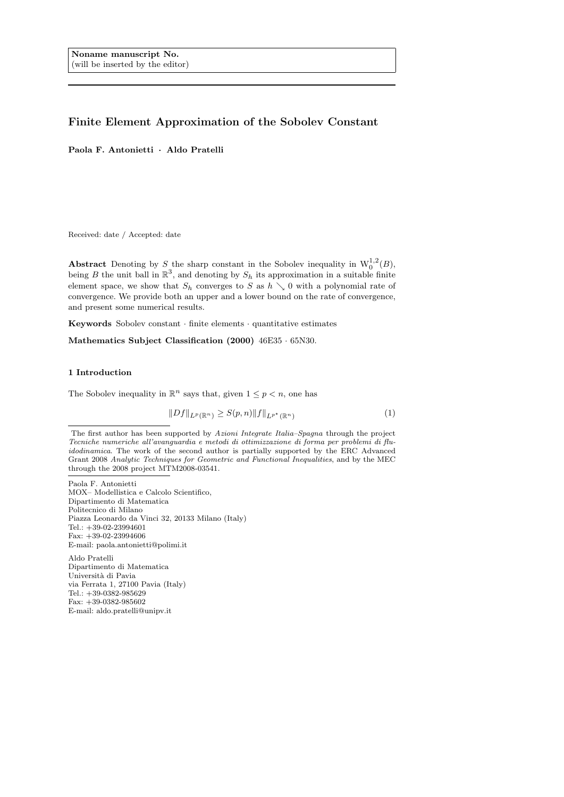# Finite Element Approximation of the Sobolev Constant

Paola F. Antonietti · Aldo Pratelli

Received: date / Accepted: date

**Abstract** Denoting by S<sub>2</sub><sup>the</sup> sharp constant in the Sobolev inequality in  $W_0^{1,2}(B)$ , being B the unit ball in  $\mathbb{R}^3$ , and denoting by  $S_h$  its approximation in a suitable finite element space, we show that  $S_h$  converges to S as  $h \searrow 0$  with a polynomial rate of convergence. We provide both an upper and a lower bound on the rate of convergence, and present some numerical results.

Keywords Sobolev constant · finite elements · quantitative estimates

Mathematics Subject Classification (2000) 46E35 · 65N30.

# 1 Introduction

The Sobolev inequality in  $\mathbb{R}^n$  says that, given  $1 \leq p < n$ , one has

<span id="page-0-0"></span>
$$
||Df||_{L^{p}(\mathbb{R}^{n})} \geq S(p,n)||f||_{L^{p^{*}}(\mathbb{R}^{n})}
$$
\n(1)

Paola F. Antonietti MOX– Modellistica e Calcolo Scientifico, Dipartimento di Matematica Politecnico di Milano Piazza Leonardo da Vinci 32, 20133 Milano (Italy) Tel.:  $+39\hbox{-}02\hbox{-}23994601$ Fax: +39-02-23994606 E-mail: paola.antonietti@polimi.it

Aldo Pratelli Dipartimento di Matematica Università di Pavia via Ferrata 1, 27100 Pavia (Italy) Tel.: +39-0382-985629 Fax: +39-0382-985602 E-mail: aldo.pratelli@unipv.it

The first author has been supported by  $Azioni$  Integrate Italia–Spagna through the project Tecniche numeriche all'avanguardia e metodi di ottimizzazione di forma per problemi di fluidodinamica. The work of the second author is partially supported by the ERC Advanced Grant 2008 Analytic Techniques for Geometric and Functional Inequalities, and by the MEC through the 2008 project MTM2008-03541.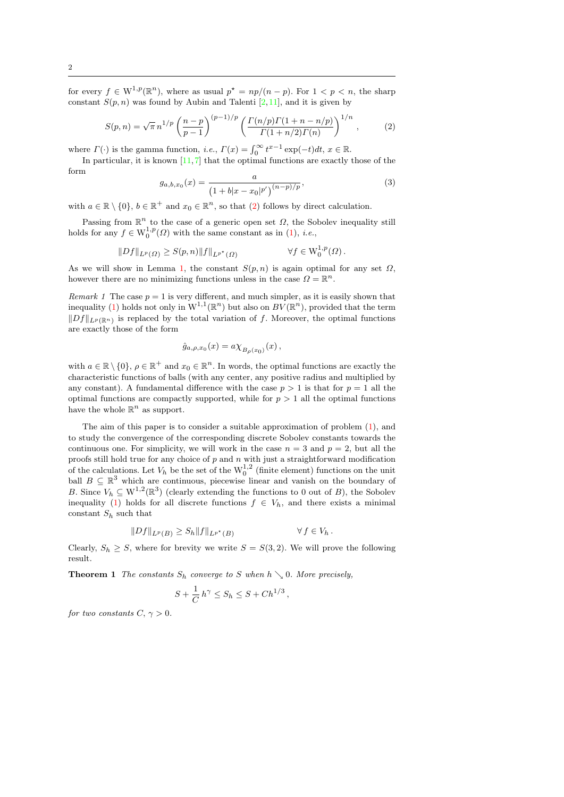for every  $f \in W^{1,p}(\mathbb{R}^n)$ , where as usual  $p^* = np/(n-p)$ . For  $1 < p < n$ , the sharp constant  $S(p, n)$  was found by Aubin and Talenti [\[2,](#page-22-0)[11\]](#page-23-0), and it is given by

<span id="page-1-0"></span>
$$
S(p,n) = \sqrt{\pi} n^{1/p} \left(\frac{n-p}{p-1}\right)^{(p-1)/p} \left(\frac{\Gamma(n/p)\Gamma(1+n-n/p)}{\Gamma(1+n/2)\Gamma(n)}\right)^{1/n},\tag{2}
$$

where  $\Gamma(\cdot)$  is the gamma function, *i.e.*,  $\Gamma(x) = \int_0^\infty t^{x-1} \exp(-t) dt$ ,  $x \in \mathbb{R}$ .

In particular, it is known  $[11, 7]$  $[11, 7]$  $[11, 7]$  that the optimal functions are exactly those of the form

<span id="page-1-2"></span>
$$
g_{a,b,x_0}(x) = \frac{a}{\left(1 + b|x - x_0|^{p'}\right)^{(n-p)/p}},\tag{3}
$$

with  $a \in \mathbb{R} \setminus \{0\}$ ,  $b \in \mathbb{R}^+$  and  $x_0 \in \mathbb{R}^n$ , so that [\(2\)](#page-1-0) follows by direct calculation.

Passing from  $\mathbb{R}^n$  to the case of a generic open set  $\Omega$ , the Sobolev inequality still holds for any  $f \in W_0^{1,p}(\Omega)$  with the same constant as in [\(1\)](#page-0-0), *i.e.*,

$$
||Df||_{L^p(\Omega)} \ge S(p,n) ||f||_{L^{p^*}(\Omega)} \qquad \forall f \in W_0^{1,p}(\Omega).
$$

As we will show in Lemma [1,](#page-4-0) the constant  $S(p, n)$  is again optimal for any set  $\Omega$ , however there are no minimizing functions unless in the case  $\Omega = \mathbb{R}^n$ .

Remark 1 The case  $p = 1$  is very different, and much simpler, as it is easily shown that inequality [\(1\)](#page-0-0) holds not only in  $W^{1,1}(\mathbb{R}^n)$  but also on  $BV(\mathbb{R}^n)$ , provided that the term  $||Df||_{L^p(\mathbb{R}^n)}$  is replaced by the total variation of f. Moreover, the optimal functions are exactly those of the form

$$
\hat{g}_{a,\rho,x_0}(x) = a \chi_{B_{\rho}(x_0)}(x) ,
$$

with  $a \in \mathbb{R} \setminus \{0\}$ ,  $\rho \in \mathbb{R}^+$  and  $x_0 \in \mathbb{R}^n$ . In words, the optimal functions are exactly the characteristic functions of balls (with any center, any positive radius and multiplied by any constant). A fundamental difference with the case  $p > 1$  is that for  $p = 1$  all the optimal functions are compactly supported, while for  $p > 1$  all the optimal functions have the whole  $\mathbb{R}^n$  as support.

The aim of this paper is to consider a suitable approximation of problem [\(1\)](#page-0-0), and to study the convergence of the corresponding discrete Sobolev constants towards the continuous one. For simplicity, we will work in the case  $n = 3$  and  $p = 2$ , but all the proofs still hold true for any choice of  $p$  and  $n$  with just a straightforward modification of the calculations. Let  $V_h$  be the set of the  $W_0^{1,2}$  (finite element) functions on the unit ball  $B \subseteq \mathbb{R}^3$  which are continuous, piecewise linear and vanish on the boundary of B. Since  $V_h \subseteq W^{1,2}(\mathbb{R}^3)$  (clearly extending the functions to 0 out of B), the Sobolev inequality [\(1\)](#page-0-0) holds for all discrete functions  $f \in V_h$ , and there exists a minimal constant  $S_h$  such that

$$
||Df||_{L^p(B)} \ge S_h ||f||_{L^{p^*}(B)} \qquad \forall f \in V_h.
$$

<span id="page-1-1"></span>Clearly,  $S_h \geq S$ , where for brevity we write  $S = S(3, 2)$ . We will prove the following result.

**Theorem 1** The constants  $S_h$  converge to S when  $h \setminus 0$ . More precisely,

$$
S + \frac{1}{C} h^{\gamma} \le S_h \le S + Ch^{1/3},
$$

for two constants  $C, \gamma > 0$ .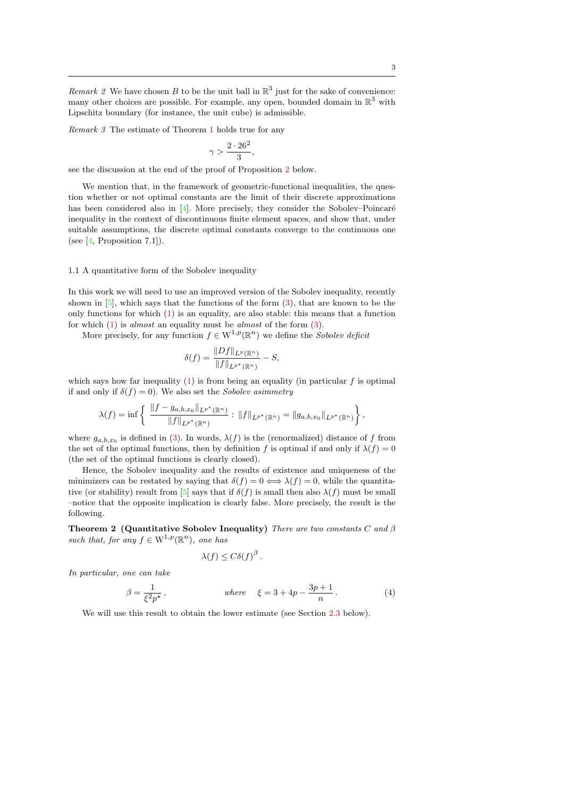Remark 2 We have chosen B to be the unit ball in  $\mathbb{R}^3$  just for the sake of convenience: many other choices are possible. For example, any open, bounded domain in  $\mathbb{R}^3$  with Lipschitz boundary (for instance, the unit cube) is admissible.

Remark 3 The estimate of Theorem [1](#page-1-1) holds true for any

$$
\gamma>\frac{2\cdot 26^2}{3},
$$

see the discussion at the end of the proof of Proposition [2](#page-9-0) below.

We mention that, in the framework of geometric-functional inequalities, the question whether or not optimal constants are the limit of their discrete approximations has been considered also in  $[4]$ . More precisely, they consider the Sobolev–Poincaré inequality in the context of discontinuous finite element spaces, and show that, under suitable assumptions, the discrete optimal constants converge to the continuous one (see  $[4,$  Proposition 7.1]).

#### 1.1 A quantitative form of the Sobolev inequality

In this work we will need to use an improved version of the Sobolev inequality, recently shown in  $[5]$ , which says that the functions of the form  $(3)$ , that are known to be the only functions for which  $(1)$  is an equality, are also stable: this means that a function for which [\(1\)](#page-0-0) is almost an equality must be almost of the form [\(3\)](#page-1-2).

More precisely, for any function  $f \in W^{1,p}(\mathbb{R}^n)$  we define the Sobolev deficit

$$
\delta(f) = \frac{\|Df\|_{L^p(\mathbb{R}^n)}}{\|f\|_{L^{p^*}(\mathbb{R}^n)}} - S,
$$

which says how far inequality  $(1)$  is from being an equality (in particular f is optimal if and only if  $\delta(f) = 0$ . We also set the *Sobolev asimmetry* 

$$
\lambda(f) = \inf \left\{ \frac{\|f - g_{a,b,x_0}\|_{L^{p^*}(\mathbb{R}^n)}}{\|f\|_{L^{p^*}(\mathbb{R}^n)}} : \|f\|_{L^{p^*}(\mathbb{R}^n)} = \|g_{a,b,x_0}\|_{L^{p^*}(\mathbb{R}^n)} \right\},\
$$

where  $g_{a,b,x_0}$  is defined in [\(3\)](#page-1-2). In words,  $\lambda(f)$  is the (renormalized) distance of f from the set of the optimal functions, then by definition f is optimal if and only if  $\lambda(f) = 0$ (the set of the optimal functions is clearly closed).

Hence, the Sobolev inequality and the results of existence and uniqueness of the minimizers can be restated by saying that  $\delta(f) = 0 \iff \lambda(f) = 0$ , while the quantita-tive (or stability) result from [\[5\]](#page-22-3) says that if  $\delta(f)$  is small then also  $\lambda(f)$  must be small –notice that the opposite implication is clearly false. More precisely, the result is the following.

<span id="page-2-0"></span>**Theorem 2 (Quantitative Sobolev Inequality)** There are two constants C and  $\beta$ such that, for any  $f \in W^{1,p}(\mathbb{R}^n)$ , one has

<span id="page-2-1"></span>
$$
\lambda(f) \leq C \delta(f)^{\beta}.
$$

In particular, one can take

$$
\beta = \frac{1}{\xi^2 p^*}, \qquad \text{where} \quad \xi = 3 + 4p - \frac{3p+1}{n}. \tag{4}
$$

We will use this result to obtain the lower estimate (see Section [2.3](#page-9-1) below).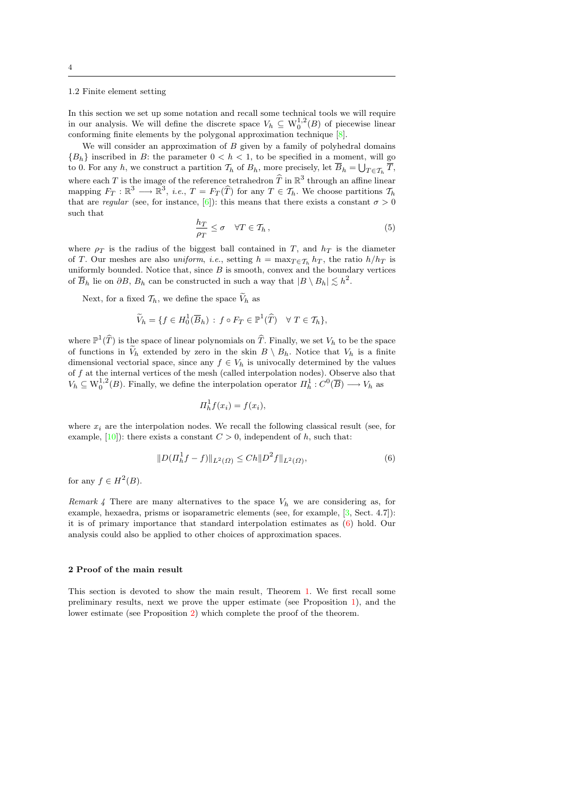# <span id="page-3-1"></span>1.2 Finite element setting

In this section we set up some notation and recall some technical tools we will require in our analysis. We will define the discrete space  $V_h \subseteq W_0^{1,2}(B)$  of piecewise linear conforming finite elements by the polygonal approximation technique [\[8\]](#page-22-4).

We will consider an approximation of  $B$  given by a family of polyhedral domains  ${B<sub>b</sub>}$  inscribed in B: the parameter  $0 < h < 1$ , to be specified in a moment, will go to 0. For any h, we construct a partition  $\mathcal{T}_h$  of  $B_h$ , more precisely, let  $B_h = \bigcup_{T \in \mathcal{T}_h} T$ , where each T is the image of the reference tetrahedron  $\hat{T}$  in  $\mathbb{R}^3$  through an affine linear mapping  $F_T : \mathbb{R}^3 \longrightarrow \mathbb{R}^3$ , *i.e.*,  $T = F_T(\widehat{T})$  for any  $T \in \mathcal{T}_h$ . We choose partitions  $\mathcal{T}_h$ that are regular (see, for instance, [\[6\]](#page-22-5)): this means that there exists a constant  $\sigma > 0$ such that

$$
\frac{h_T}{\rho_T} \le \sigma \quad \forall T \in \mathcal{T}_h \,,\tag{5}
$$

where  $\rho_T$  is the radius of the biggest ball contained in T, and  $h_T$  is the diameter of T. Our meshes are also *uniform*, *i.e.*, setting  $h = \max_{T \in \mathcal{T}_h} h_T$ , the ratio  $h/h_T$  is uniformly bounded. Notice that, since  $B$  is smooth, convex and the boundary vertices of  $\overline{B}_h$  lie on  $\partial B$ ,  $B_h$  can be constructed in such a way that  $|B \setminus B_h| \lesssim h^2$ .

Next, for a fixed  $\mathcal{T}_h$ , we define the space  $V_h$  as

$$
\widetilde{V}_h = \{ f \in H_0^1(\overline{B}_h) : f \circ F_T \in \mathbb{P}^1(\widehat{T}) \quad \forall \ T \in \mathcal{T}_h \},
$$

where  $\mathbb{P}^1(\widehat{T})$  is the space of linear polynomials on  $\widehat{T}$ . Finally, we set  $V_h$  to be the space of functions in  $V_h$  extended by zero in the skin  $B \setminus B_h$ . Notice that  $V_h$  is a finite dimensional vectorial space, since any  $f \in V_h$  is univocally determined by the values of  $f$  at the internal vertices of the mesh (called interpolation nodes). Observe also that  $V_h \subseteq W_0^{1,2}(B)$ . Finally, we define the interpolation operator  $\Pi_h^1 : C^0(\overline{B}) \longrightarrow V_h$  as

<span id="page-3-0"></span>
$$
\Pi_h^1 f(x_i) = f(x_i),
$$

where  $x_i$  are the interpolation nodes. We recall the following classical result (see, for example,  $[10]$ : there exists a constant  $C > 0$ , independent of h, such that:

$$
||D(\Pi_h^1 f - f)||_{L^2(\Omega)} \le Ch ||D^2 f||_{L^2(\Omega)},
$$
\n(6)

for any  $f \in H^2(B)$ .

Remark 4 There are many alternatives to the space  $V_h$  we are considering as, for example, hexaedra, prisms or isoparametric elements (see, for example, [\[3,](#page-22-7) Sect. 4.7]): it is of primary importance that standard interpolation estimates as [\(6\)](#page-3-0) hold. Our analysis could also be applied to other choices of approximation spaces.

#### 2 Proof of the main result

This section is devoted to show the main result, Theorem [1.](#page-1-1) We first recall some preliminary results, next we prove the upper estimate (see Proposition [1\)](#page-5-0), and the lower estimate (see Proposition [2\)](#page-9-0) which complete the proof of the theorem.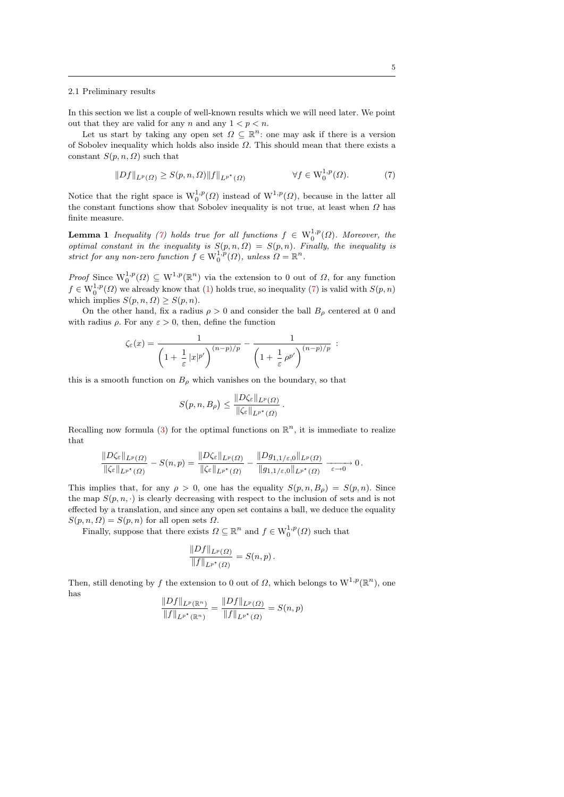# 2.1 Preliminary results

In this section we list a couple of well-known results which we will need later. We point out that they are valid for any n and any  $1 < p < n$ .

Let us start by taking any open set  $\Omega \subseteq \mathbb{R}^n$ : one may ask if there is a version of Sobolev inequality which holds also inside  $\Omega$ . This should mean that there exists a constant  $S(p, n, \Omega)$  such that

<span id="page-4-1"></span><span id="page-4-0"></span>
$$
||Df||_{L^{p}(\Omega)} \ge S(p, n, \Omega) ||f||_{L^{p^{*}}(\Omega)} \qquad \forall f \in W_{0}^{1, p}(\Omega). \tag{7}
$$

Notice that the right space is  $W_0^{1,p}(\Omega)$  instead of  $W^{1,p}(\Omega)$ , because in the latter all the constant functions show that Sobolev inequality is not true, at least when  $\Omega$  has finite measure.

**Lemma 1** Inequality [\(7\)](#page-4-1) holds true for all functions  $f \in W_0^{1,p}(\Omega)$ . Moreover, the optimal constant in the inequality is  $S(p, n, \Omega) = S(p, n)$ . Finally, the inequality is strict for any non-zero function  $f \in W_0^{1,p}(\Omega)$ , unless  $\Omega = \mathbb{R}^n$ .

*Proof* Since  $W_0^{1,p}(\Omega) \subseteq W^{1,p}(\mathbb{R}^n)$  via the extension to 0 out of  $\Omega$ , for any function  $f \in W_0^{1,p}(\Omega)$  we already know that [\(1\)](#page-0-0) holds true, so inequality [\(7\)](#page-4-1) is valid with  $S(p,n)$ which implies  $S(p, n, \Omega) \geq S(p, n)$ .

On the other hand, fix a radius  $\rho > 0$  and consider the ball  $B_{\rho}$  centered at 0 and with radius  $\rho$ . For any  $\varepsilon > 0$ , then, define the function

$$
\zeta_{\varepsilon}(x) = \frac{1}{\left(1 + \frac{1}{\varepsilon} |x|^{p'}\right)^{(n-p)/p}} - \frac{1}{\left(1 + \frac{1}{\varepsilon} \rho^{p'}\right)^{(n-p)/p}}.
$$

this is a smooth function on  $B_{\rho}$  which vanishes on the boundary, so that

$$
S(p,n,B_{\rho}) \leq \frac{\|D\zeta_{\varepsilon}\|_{L^{p}(\Omega)}}{\|\zeta_{\varepsilon}\|_{L^{p^{\star}}(\Omega)}}.
$$

Recalling now formula [\(3\)](#page-1-2) for the optimal functions on  $\mathbb{R}^n$ , it is immediate to realize that

$$
\frac{\|D\zeta_{\varepsilon}\|_{L^p(\Omega)}}{\|\zeta_{\varepsilon}\|_{L^{p^{\star}}(\Omega)}}-S(n,p)=\frac{\|D\zeta_{\varepsilon}\|_{L^p(\Omega)}}{\|\zeta_{\varepsilon}\|_{L^{p^{\star}}(\Omega)}}-\frac{\|Dg_{1,1/\varepsilon,0}\|_{L^p(\Omega)}}{\|g_{1,1/\varepsilon,0}\|_{L^{p^{\star}}(\Omega)}}\xrightarrow[\varepsilon\to 0]{}0.
$$

This implies that, for any  $\rho > 0$ , one has the equality  $S(p, n, B_\rho) = S(p, n)$ . Since the map  $S(p, n, \cdot)$  is clearly decreasing with respect to the inclusion of sets and is not effected by a translation, and since any open set contains a ball, we deduce the equality  $S(p, n, \Omega) = S(p, n)$  for all open sets  $\Omega$ .

Finally, suppose that there exists  $\Omega \subseteq \mathbb{R}^n$  and  $f \in W_0^{1,p}(\Omega)$  such that

$$
\frac{\|Df\|_{L^p(\Omega)}}{\|f\|_{L^{p^*}(\Omega)}} = S(n,p).
$$

Then, still denoting by f the extension to 0 out of  $\Omega$ , which belongs to  $W^{1,p}(\mathbb{R}^n)$ , one has

$$
\frac{\|Df\|_{L^p(\mathbb{R}^n)}}{\|f\|_{L^{p^*}(\mathbb{R}^n)}} = \frac{\|Df\|_{L^p(\Omega)}}{\|f\|_{L^{p^*}(\Omega)}} = S(n, p)
$$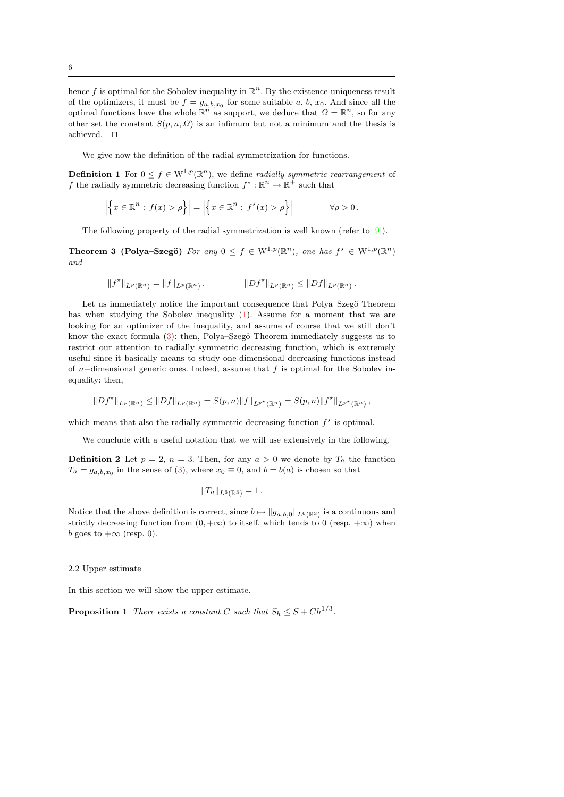hence f is optimal for the Sobolev inequality in  $\mathbb{R}^n$ . By the existence-uniqueness result of the optimizers, it must be  $f = g_{a,b,x_0}$  for some suitable a, b,  $x_0$ . And since all the optimal functions have the whole  $\mathbb{R}^n$  as support, we deduce that  $\Omega = \mathbb{R}^n$ , so for any other set the constant  $S(p, n, \Omega)$  is an infimum but not a minimum and the thesis is achieved.  $\square$ 

We give now the definition of the radial symmetrization for functions.

**Definition 1** For  $0 \leq f \in W^{1,p}(\mathbb{R}^n)$ , we define radially symmetric rearrangement of f the radially symmetric decreasing function  $f^* : \mathbb{R}^n \to \mathbb{R}^+$  such that

$$
\left| \left\{ x \in \mathbb{R}^n : f(x) > \rho \right\} \right| = \left| \left\{ x \in \mathbb{R}^n : f^*(x) > \rho \right\} \right| \qquad \forall \rho > 0.
$$

The following property of the radial symmetrization is well known (refer to [\[9\]](#page-22-8)).

<span id="page-5-2"></span>**Theorem 3 (Polya–Szegö)** For any  $0 \le f \in W^{1,p}(\mathbb{R}^n)$ , one has  $f^* \in W^{1,p}(\mathbb{R}^n)$ and

$$
||f^*||_{L^p(\mathbb{R}^n)} = ||f||_{L^p(\mathbb{R}^n)}, \qquad ||Df^*||_{L^p(\mathbb{R}^n)} \le ||Df||_{L^p(\mathbb{R}^n)}.
$$

Let us immediately notice the important consequence that Polya–Szegö Theorem has when studying the Sobolev inequality [\(1\)](#page-0-0). Assume for a moment that we are looking for an optimizer of the inequality, and assume of course that we still don't know the exact formula  $(3)$ : then, Polya–Szegö Theorem immediately suggests us to restrict our attention to radially symmetric decreasing function, which is extremely useful since it basically means to study one-dimensional decreasing functions instead of n–dimensional generic ones. Indeed, assume that f is optimal for the Sobolev inequality: then,

$$
||Df^{\star}||_{L^{p}(\mathbb{R}^{n})} \leq ||Df||_{L^{p}(\mathbb{R}^{n})} = S(p,n)||f||_{L^{p^{\star}}(\mathbb{R}^{n})} = S(p,n)||f^{\star}||_{L^{p^{\star}}(\mathbb{R}^{n})},
$$

which means that also the radially symmetric decreasing function  $f^*$  is optimal.

We conclude with a useful notation that we will use extensively in the following.

**Definition 2** Let  $p = 2$ ,  $n = 3$ . Then, for any  $a > 0$  we denote by  $T_a$  the function  $T_a = g_{a,b,x_0}$  in the sense of [\(3\)](#page-1-2), where  $x_0 \equiv 0$ , and  $b = b(a)$  is chosen so that

<span id="page-5-1"></span>
$$
||T_a||_{L^6(\mathbb{R}^3)} = 1.
$$

Notice that the above definition is correct, since  $b \mapsto ||g_{a,b,0}||_{L^6(\mathbb{R}^3)}$  is a continuous and strictly decreasing function from  $(0, +\infty)$  to itself, which tends to 0 (resp.  $+\infty$ ) when b goes to  $+\infty$  (resp. 0).

## 2.2 Upper estimate

<span id="page-5-0"></span>In this section we will show the upper estimate.

**Proposition 1** There exists a constant C such that  $S_h \leq S + Ch^{1/3}$ .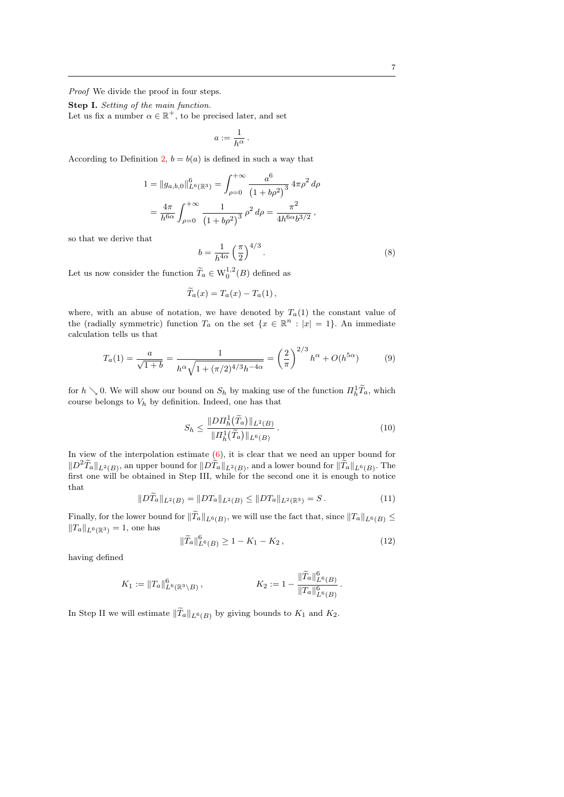Proof We divide the proof in four steps.

Step I. Setting of the main function.

Let us fix a number  $\alpha \in \mathbb{R}^+$ , to be precised later, and set

$$
a:=\frac{1}{h^{\alpha}}\,.
$$

According to Definition [2,](#page-5-1)  $b = b(a)$  is defined in such a way that

$$
1 = \|g_{a,b,0}\|_{L^6(\mathbb{R}^3)}^6 = \int_{\rho=0}^{+\infty} \frac{a^6}{(1+b\rho^2)^3} 4\pi \rho^2 d\rho
$$
  
=  $\frac{4\pi}{h^{6\alpha}} \int_{\rho=0}^{+\infty} \frac{1}{(1+b\rho^2)^3} \rho^2 d\rho = \frac{\pi^2}{4h^{6\alpha}b^{3/2}},$ 

so that we derive that

<span id="page-6-4"></span>
$$
b = \frac{1}{h^{4\alpha}} \left(\frac{\pi}{2}\right)^{4/3}.
$$
 (8)

Let us now consider the function  $\widetilde{T}_a \in W_0^{1,2}(B)$  defined as

$$
\widetilde{T}_a(x) = T_a(x) - T_a(1) \,,
$$

where, with an abuse of notation, we have denoted by  $T_a(1)$  the constant value of the (radially symmetric) function  $T_a$  on the set  $\{x \in \mathbb{R}^n : |x| = 1\}$ . An immediate calculation tells us that

<span id="page-6-0"></span>
$$
T_a(1) = \frac{a}{\sqrt{1+b}} = \frac{1}{h^{\alpha}\sqrt{1+(\pi/2)^{4/3}h^{-4\alpha}}} = \left(\frac{2}{\pi}\right)^{2/3}h^{\alpha} + O(h^{5\alpha})\tag{9}
$$

for  $h \searrow 0$ . We will show our bound on  $S_h$  by making use of the function  $\Pi_h^1 \tilde{T}_a$ , which course belongs to  $V_h$  by definition. Indeed, one has that

<span id="page-6-3"></span>
$$
S_h \le \frac{\|D\Pi_h^1(\widetilde{T}_a)\|_{L^2(B)}}{\|\Pi_h^1(\widetilde{T}_a)\|_{L^6(B)}}.
$$
\n(10)

In view of the interpolation estimate  $(6)$ , it is clear that we need an upper bound for  $||D^2 \widetilde{T}_a||_{L^2(B)}$ , an upper bound for  $||D\widetilde{T}_a||_{L^2(B)}$ , and a lower bound for  $||\widetilde{T}_a||_{L^6(B)}$ . The first one will be obtained in Step III, while for the second one it is enough to notice that

<span id="page-6-2"></span>
$$
||D\widetilde{T}_a||_{L^2(B)} = ||DT_a||_{L^2(B)} \le ||DT_a||_{L^2(\mathbb{R}^3)} = S. \tag{11}
$$

Finally, for the lower bound for  $||T_a||_{L^6(B)}$ , we will use the fact that, since  $||T_a||_{L^6(B)} \le$  $||T_a||_{L^6(\mathbb{R}^3)} = 1$ , one has

<span id="page-6-1"></span>
$$
\|\widetilde{T}_a\|_{L^6(B)}^6 \ge 1 - K_1 - K_2, \qquad (12)
$$

having defined

$$
K_1 := \|T_a\|_{L^6(\mathbb{R}^3 \setminus B)}^6, \qquad K_2 := 1 - \frac{\|\widetilde{T}_a\|_{L^6(B)}^6}{\|T_a\|_{L^6(B)}^6}.
$$

In Step II we will estimate  $\|\widetilde{T}_a\|_{L^6(B)}$  by giving bounds to  $K_1$  and  $K_2$ .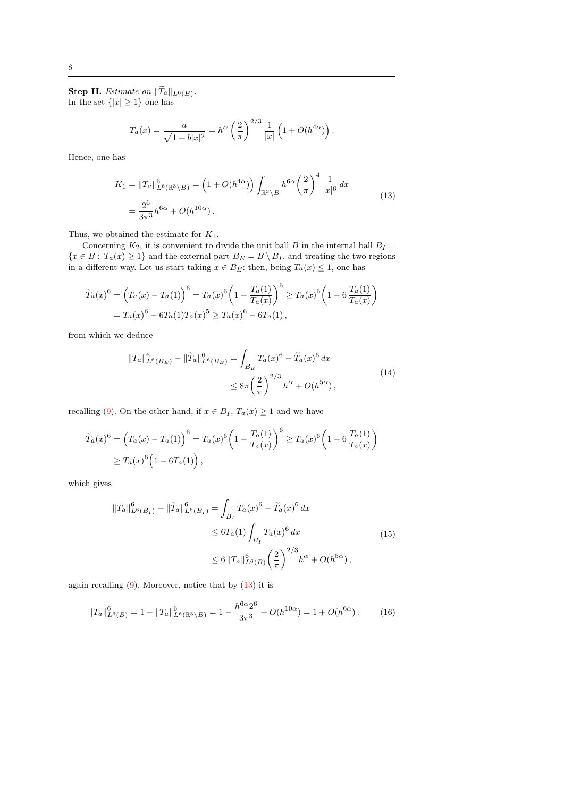**Step II.** Estimate on  $||T_a||_{L^6(B)}$ . In the set  $\{|x| \geq 1\}$  one has

$$
T_a(x) = \frac{a}{\sqrt{1+b|x|^2}} = h^{\alpha} \left(\frac{2}{\pi}\right)^{2/3} \frac{1}{|x|} \left(1 + O(h^{4\alpha})\right).
$$

<span id="page-7-0"></span>Hence, one has

$$
K_1 = ||T_a||_{L^6(\mathbb{R}^3 \setminus B)}^6 = \left(1 + O(h^{4\alpha})\right) \int_{\mathbb{R}^3 \setminus B} h^{6\alpha} \left(\frac{2}{\pi}\right)^4 \frac{1}{|x|^6} dx
$$
  
=  $\frac{2^6}{3\pi^3} h^{6\alpha} + O(h^{10\alpha}).$  (13)

Thus, we obtained the estimate for  $K_1$ .

Concerning  $K_2$ , it is convenient to divide the unit ball B in the internal ball  $B<sub>I</sub>$  =  ${x \in B : T_a(x) \ge 1}$  and the external part  $B_E = B \setminus B_I$ , and treating the two regions in a different way. Let us start taking  $x \in B_E$ : then, being  $T_a(x) \leq 1$ , one has

$$
\widetilde{T}_a(x)^6 = \left(T_a(x) - T_a(1)\right)^6 = T_a(x)^6 \left(1 - \frac{T_a(1)}{T_a(x)}\right)^6 \ge T_a(x)^6 \left(1 - 6\frac{T_a(1)}{T_a(x)}\right)
$$

$$
= T_a(x)^6 - 6T_a(1)T_a(x)^5 \ge T_a(x)^6 - 6T_a(1),
$$

<span id="page-7-1"></span>from which we deduce

$$
||T_a||_{L^6(B_E)}^6 - ||\widetilde{T}_a||_{L^6(B_E)}^6 = \int_{B_E} T_a(x)^6 - \widetilde{T}_a(x)^6 dx
$$
  

$$
\leq 8\pi \left(\frac{2}{\pi}\right)^{2/3} h^{\alpha} + O(h^{5\alpha}), \tag{14}
$$

recalling [\(9\)](#page-6-0). On the other hand, if  $x \in B_I$ ,  $T_a(x) \geq 1$  and we have

$$
\widetilde{T}_a(x)^6 = \left(T_a(x) - T_a(1)\right)^6 = T_a(x)^6 \left(1 - \frac{T_a(1)}{T_a(x)}\right)^6 \ge T_a(x)^6 \left(1 - 6\frac{T_a(1)}{T_a(x)}\right)
$$
\n
$$
\ge T_a(x)^6 \left(1 - 6T_a(1)\right),
$$

<span id="page-7-2"></span>which gives

$$
||T_a||_{L^6(B_I)}^6 - ||\widetilde{T}_a||_{L^6(B_I)}^6 = \int_{B_I} T_a(x)^6 - \widetilde{T}_a(x)^6 dx
$$
  
\n
$$
\leq 6T_a(1) \int_{B_I} T_a(x)^6 dx
$$
  
\n
$$
\leq 6 ||T_a||_{L^6(B)}^6 \left(\frac{2}{\pi}\right)^{2/3} h^{\alpha} + O(h^{5\alpha}),
$$
\n(15)

again recalling [\(9\)](#page-6-0). Moreover, notice that by [\(13\)](#page-7-0) it is

<span id="page-7-3"></span>
$$
||T_a||_{L^6(B)}^6 = 1 - ||T_a||_{L^6(\mathbb{R}^3 \setminus B)}^6 = 1 - \frac{h^{6\alpha}2^6}{3\pi^3} + O(h^{10\alpha}) = 1 + O(h^{6\alpha}). \tag{16}
$$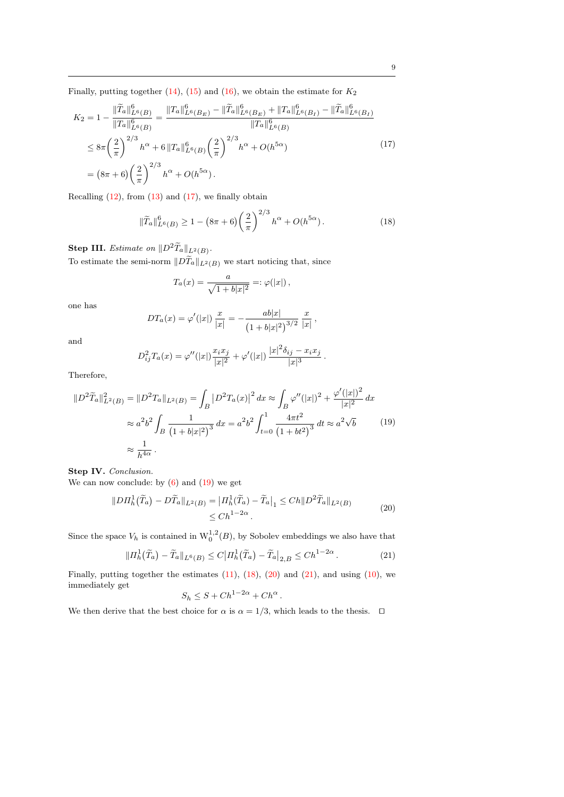<span id="page-8-0"></span>
$$
K_2 = 1 - \frac{\|\widetilde{T}_a\|_{L^6(B)}^6}{\|T_a\|_{L^6(B)}^6} = \frac{\|T_a\|_{L^6(B_E)}^6 - \|\widetilde{T}_a\|_{L^6(B_E)}^6 + \|T_a\|_{L^6(B_I)}^6 - \|\widetilde{T}_a\|_{L^6(B_I)}^6}{\|T_a\|_{L^6(B)}^6} \n\leq 8\pi \left(\frac{2}{\pi}\right)^{2/3} h^{\alpha} + 6 \|T_a\|_{L^6(B)}^6 \left(\frac{2}{\pi}\right)^{2/3} h^{\alpha} + O(h^{5\alpha}) \n= (8\pi + 6) \left(\frac{2}{\pi}\right)^{2/3} h^{\alpha} + O(h^{5\alpha}).
$$
\n(17)

Recalling  $(12)$ , from  $(13)$  and  $(17)$ , we finally obtain

<span id="page-8-2"></span>
$$
\|\widetilde{T}_a\|_{L^6(B)}^6 \ge 1 - (8\pi + 6) \left(\frac{2}{\pi}\right)^{2/3} h^{\alpha} + O(h^{5\alpha}). \tag{18}
$$

Step III. Estimate on  $||D^2 \widetilde{T}_a||_{L^2(B)}$ .

To estimate the semi-norm  $\|D\widetilde{T}_a\|_{L^2(B)}$  we start noticing that, since

$$
T_a(x) = \frac{a}{\sqrt{1+b|x|^2}} =: \varphi(|x|),
$$

one has

$$
DT_a(x) = \varphi'(|x|) \frac{x}{|x|} = -\frac{ab|x|}{(1+b|x|^2)^{3/2}} \frac{x}{|x|},
$$

and

$$
D_{ij}^{2}T_a(x) = \varphi''(|x|) \frac{x_i x_j}{|x|^2} + \varphi'(|x|) \frac{|x|^2 \delta_{ij} - x_i x_j}{|x|^3}.
$$

Therefore,

<span id="page-8-1"></span>
$$
||D^{2}\tilde{T}_{a}||_{L^{2}(B)}^{2} = ||D^{2}T_{a}||_{L^{2}(B)} = \int_{B} |D^{2}T_{a}(x)|^{2} dx \approx \int_{B} \varphi''(|x|)^{2} + \frac{\varphi'(|x|)^{2}}{|x|^{2}} dx
$$

$$
\approx a^{2}b^{2} \int_{B} \frac{1}{(1+b|x|^{2})^{3}} dx = a^{2}b^{2} \int_{t=0}^{1} \frac{4\pi t^{2}}{(1+bt^{2})^{3}} dt \approx a^{2}\sqrt{b}
$$
(19)
$$
\approx \frac{1}{h^{4\alpha}}.
$$

Step IV. Conclusion.

<span id="page-8-3"></span>We can now conclude: by  $(6)$  and  $(19)$  we get

$$
\|DH_h^1(\tilde{T}_a) - D\tilde{T}_a\|_{L^2(B)} = |H_h^1(\tilde{T}_a) - \tilde{T}_a|_1 \le Ch \|D^2 \tilde{T}_a\|_{L^2(B)}
$$
  

$$
\le Ch^{1-2\alpha}.
$$
 (20)

Since the space  $V_h$  is contained in  $\text{W}_0^{1,2}(B)$ , by Sobolev embeddings we also have that

<span id="page-8-4"></span>
$$
||\Pi_h^1(\widetilde{T}_a) - \widetilde{T}_a||_{L^6(B)} \le C|\Pi_h^1(\widetilde{T}_a) - \widetilde{T}_a|_{2,B} \le Ch^{1-2\alpha}.
$$
 (21)

Finally, putting together the estimates  $(11)$ ,  $(18)$ ,  $(20)$  and  $(21)$ , and using  $(10)$ , we immediately get

$$
S_h \leq S + Ch^{1-2\alpha} + Ch^{\alpha}.
$$

We then derive that the best choice for  $\alpha$  is  $\alpha = 1/3$ , which leads to the thesis.  $\Box$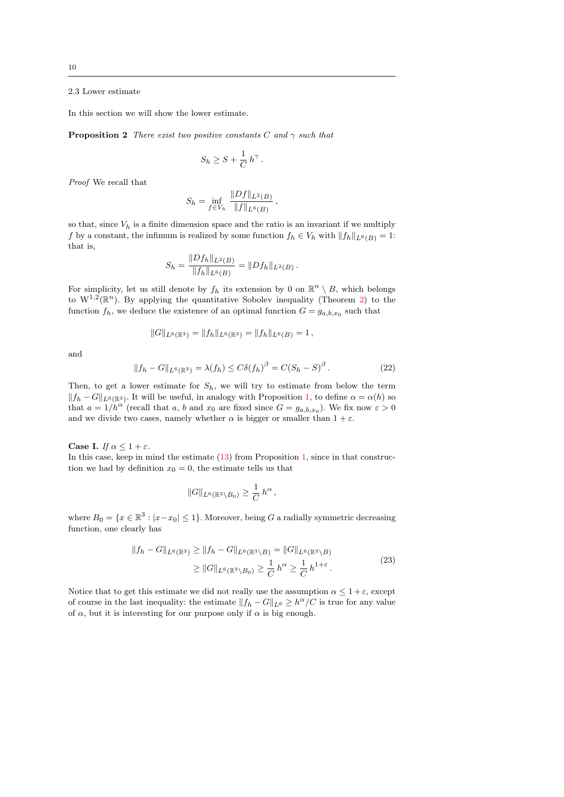<span id="page-9-1"></span>2.3 Lower estimate

<span id="page-9-0"></span>In this section we will show the lower estimate.

**Proposition 2** There exist two positive constants C and  $\gamma$  such that

$$
S_h \geq S + \frac{1}{C} \, h^{\gamma} \, .
$$

Proof We recall that

$$
S_h = \inf_{f \in V_h} \frac{\|Df\|_{L^2(B)}}{\|f\|_{L^6(B)}},
$$

so that, since  $V<sub>h</sub>$  is a finite dimension space and the ratio is an invariant if we multiply f by a constant, the infimum is realized by some function  $f_h \in V_h$  with  $||f_h||_{L^6(B)} = 1$ : that is,

$$
S_h = \frac{\|Df_h\|_{L^2(B)}}{\|f_h\|_{L^6(B)}} = \|Df_h\|_{L^2(B)}.
$$

For simplicity, let us still denote by  $f_h$  its extension by 0 on  $\mathbb{R}^n \setminus B$ , which belongs to  $W^{1,2}(\mathbb{R}^n)$ . By applying the quantitative Sobolev inequality (Theorem [2\)](#page-2-0) to the function  $f_h$ , we deduce the existence of an optimal function  $G = g_{a,b,x_0}$  such that

$$
||G||_{L^{6}(\mathbb{R}^{3})} = ||f_{h}||_{L^{6}(\mathbb{R}^{3})} = ||f_{h}||_{L^{6}(B)} = 1,
$$

and

<span id="page-9-2"></span>
$$
||f_h - G||_{L^6(\mathbb{R}^3)} = \lambda(f_h) \le C\delta(f_h)^\beta = C(S_h - S)^\beta.
$$
\n(22)

Then, to get a lower estimate for  $S_h$ , we will try to estimate from below the term  $||f_h - G||_{L^6(\mathbb{R}^3)}$ . It will be useful, in analogy with Proposition [1,](#page-5-0) to define  $\alpha = \alpha(h)$  so that  $a = 1/h^{\alpha'}$  (recall that a, b and  $x_0$  are fixed since  $G = g_{a,b,x_0}$ ). We fix now  $\varepsilon > 0$ and we divide two cases, namely whether  $\alpha$  is bigger or smaller than  $1 + \varepsilon$ .

**Case I.** If  $\alpha \leq 1 + \varepsilon$ .

In this case, keep in mind the estimate  $(13)$  from Proposition [1,](#page-5-0) since in that construction we had by definition  $x_0 = 0$ , the estimate tells us that

$$
||G||_{L^6(\mathbb{R}^3 \setminus B_0)} \geq \frac{1}{C} h^{\alpha},
$$

where  $B_0 = \{x \in \mathbb{R}^3 : |x - x_0| \leq 1\}$ . Moreover, being G a radially symmetric decreasing function, one clearly has

$$
||f_h - G||_{L^6(\mathbb{R}^3)} \ge ||f_h - G||_{L^6(\mathbb{R}^3 \setminus B)} = ||G||_{L^6(\mathbb{R}^3 \setminus B)}
$$
  
\n
$$
\ge ||G||_{L^6(\mathbb{R}^3 \setminus B_0)} \ge \frac{1}{C} h^{\alpha} \ge \frac{1}{C} h^{1+\varepsilon}.
$$
\n(23)

<span id="page-9-3"></span>Notice that to get this estimate we did not really use the assumption  $\alpha \leq 1 + \varepsilon$ , except of course in the last inequality: the estimate  $||f_h - G||_{L^6} \geq h^{\alpha}/C$  is true for any value of  $\alpha$ , but it is interesting for our purpose only if  $\alpha$  is big enough.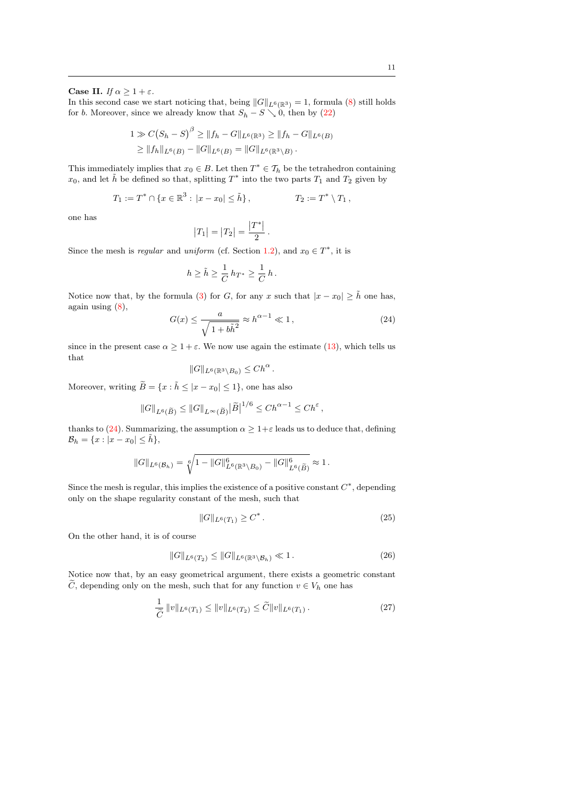# Case II. If  $\alpha \geq 1 + \varepsilon$ .

In this second case we start noticing that, being  $||G||_{L^6(\mathbb{R}^3)} = 1$ , formula [\(8\)](#page-6-4) still holds for b. Moreover, since we already know that  $S_h - S \searrow 0$ , then by [\(22\)](#page-9-2)

$$
1 \gg C (S_h - S)^{\beta} \ge ||f_h - G||_{L^6(\mathbb{R}^3)} \ge ||f_h - G||_{L^6(B)}
$$
  
 
$$
\ge ||f_h||_{L^6(B)} - ||G||_{L^6(B)} = ||G||_{L^6(\mathbb{R}^3 \setminus B)}.
$$

This immediately implies that  $x_0 \in B$ . Let then  $T^* \in \mathcal{T}_h$  be the tetrahedron containing  $x_0$ , and let  $\tilde{h}$  be defined so that, splitting  $T^*$  into the two parts  $T_1$  and  $T_2$  given by

$$
T_1 := T^* \cap \{x \in \mathbb{R}^3 : |x - x_0| \le \tilde{h}\}, \qquad T_2 := T^* \setminus T_1,
$$

one has

$$
|T_1| = |T_2| = \frac{|T^*|}{2}.
$$

Since the mesh is *regular* and *uniform* (cf. Section [1.2\)](#page-3-1), and  $x_0 \in T^*$ , it is

$$
h\geq \tilde{h}\geq \frac{1}{C}\,h_{T^*}\geq \frac{1}{C}\,h\,.
$$

Notice now that, by the formula [\(3\)](#page-1-2) for G, for any x such that  $|x - x_0| \geq \tilde{h}$  one has, again using [\(8\)](#page-6-4),

<span id="page-10-0"></span>
$$
G(x) \le \frac{a}{\sqrt{1 + b\tilde{h}^2}} \approx h^{\alpha - 1} \ll 1,
$$
\n(24)

since in the present case  $\alpha \geq 1 + \varepsilon$ . We now use again the estimate [\(13\)](#page-7-0), which tells us that

$$
||G||_{L^6(\mathbb{R}^3 \setminus B_0)} \le Ch^{\alpha}.
$$

Moreover, writing  $\widetilde{B} = \{x : \widetilde{h} \le |x - x_0| \le 1\}$ , one has also

$$
||G||_{L^{6}(\widetilde{B})} \leq ||G||_{L^{\infty}(\widetilde{B})}|\widetilde{B}|^{1/6} \leq Ch^{\alpha-1} \leq Ch^{\varepsilon},
$$

thanks to [\(24\)](#page-10-0). Summarizing, the assumption  $\alpha \geq 1+\varepsilon$  leads us to deduce that, defining  $\mathcal{B}_h = \{x : |x - x_0| \leq \tilde{h}\},\$ 

$$
||G||_{L^{6}(\mathcal{B}_{h})} = \sqrt[6]{1 - ||G||^{6}_{L^{6}(\mathbb{R}^{3} \setminus B_{0})} - ||G||^{6}_{L^{6}(\widetilde{B})}} \approx 1.
$$

Since the mesh is regular, this implies the existence of a positive constant  $C^*$ , depending only on the shape regularity constant of the mesh, such that

<span id="page-10-1"></span>
$$
||G||_{L^{6}(T_1)} \geq C^*.
$$
\n(25)

On the other hand, it is of course

<span id="page-10-2"></span>
$$
||G||_{L^{6}(T_2)} \leq ||G||_{L^{6}(\mathbb{R}^3 \setminus \mathcal{B}_h)} \ll 1. \tag{26}
$$

Notice now that, by an easy geometrical argument, there exists a geometric constant  $\widetilde{C}$ , depending only on the mesh, such that for any function  $v \in V_h$  one has

<span id="page-10-3"></span>
$$
\frac{1}{\tilde{C}}\|v\|_{L^{6}(T_1)} \le \|v\|_{L^{6}(T_2)} \le \tilde{C}\|v\|_{L^{6}(T_1)}.
$$
\n(27)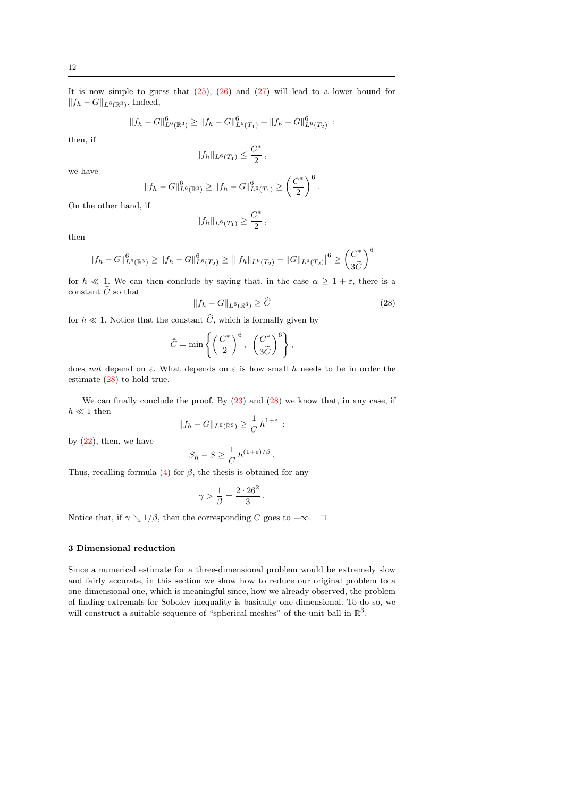$|| f_h - G ||_{L^6(\mathbb{R}^3)}$ . Indeed,

$$
||f_h - G||_{L^6(\mathbb{R}^3)}^6 \ge ||f_h - G||_{L^6(T_1)}^6 + ||f_h - G||_{L^6(T_2)}^6 :
$$

then, if

$$
||f_h||_{L^6(T_1)} \leq \frac{C^*}{2}
$$

,

we have

$$
||f_h - G||_{L^6(\mathbb{R}^3)}^6 \ge ||f_h - G||_{L^6(T_1)}^6 \ge \left(\frac{C^*}{2}\right)^6.
$$

On the other hand, if

$$
_{\rm then}
$$

$$
||f_h||_{L^6(T_1)} \ge \frac{C^*}{2},
$$

$$
||f_h - G||_{L^6(\mathbb{R}^3)}^6 \ge ||f_h - G||_{L^6(T_2)}^6 \ge ||f_h||_{L^6(T_2)} - ||G||_{L^6(T_2)}||^6 \ge \left(\frac{C^*}{3\tilde{C}}\right)^6
$$

for  $h \ll 1$ . We can then conclude by saying that, in the case  $\alpha \geq 1 + \varepsilon$ , there is a constant  $\widehat{C}$  so that

<span id="page-11-0"></span>
$$
||f_h - G||_{L^6(\mathbb{R}^3)} \ge \widehat{C}
$$
\n<sup>(28)</sup>

for  $h \ll 1$ . Notice that the constant  $\widehat{C}$ , which is formally given by

$$
\widehat{C} = \min \left\{ \left( \frac{C^*}{2} \right)^6, \left( \frac{C^*}{3\widetilde{C}} \right)^6 \right\},\
$$

does not depend on  $\varepsilon$ . What depends on  $\varepsilon$  is how small h needs to be in order the estimate [\(28\)](#page-11-0) to hold true.

We can finally conclude the proof. By  $(23)$  and  $(28)$  we know that, in any case, if  $h \ll 1$  then

$$
||f_h - G||_{L^6(\mathbb{R}^3)} \ge \frac{1}{C} h^{1+\varepsilon} :
$$

by  $(22)$ , then, we have

$$
S_h-S\geq \frac{1}{C}\,h^{(1+\varepsilon)/\beta}
$$

.

Thus, recalling formula [\(4\)](#page-2-1) for  $\beta$ , the thesis is obtained for any

$$
\gamma > \frac{1}{\beta} = \frac{2 \cdot 26^2}{3} \, .
$$

Notice that, if  $\gamma \setminus 1/\beta$ , then the corresponding C goes to  $+\infty$ .  $\Box$ 

## 3 Dimensional reduction

Since a numerical estimate for a three-dimensional problem would be extremely slow and fairly accurate, in this section we show how to reduce our original problem to a one-dimensional one, which is meaningful since, how we already observed, the problem of finding extremals for Sobolev inequality is basically one dimensional. To do so, we will construct a suitable sequence of "spherical meshes" of the unit ball in  $\mathbb{R}^3$ .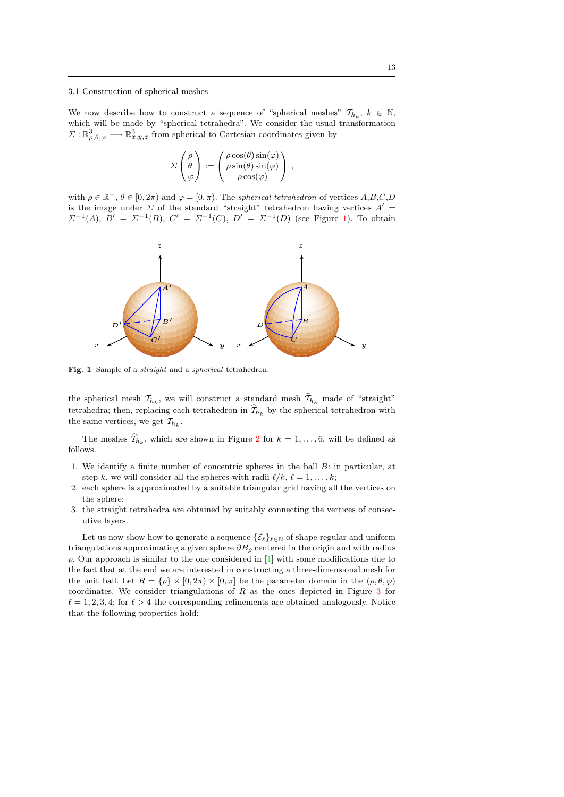## 3.1 Construction of spherical meshes

We now describe how to construct a sequence of "spherical meshes"  $\mathcal{T}_{h_k}, k \in \mathbb{N}$ , which will be made by "spherical tetrahedra". We consider the usual transformation  $\Sigma: \mathbb{R}^3_{\rho,\theta,\varphi} \longrightarrow \mathbb{R}^3_{x,y,z}$  from spherical to Cartesian coordinates given by

<span id="page-12-0"></span>
$$
\Sigma \begin{pmatrix} \rho \\ \theta \\ \varphi \end{pmatrix} := \begin{pmatrix} \rho \cos(\theta) \sin(\varphi) \\ \rho \sin(\theta) \sin(\varphi) \\ \rho \cos(\varphi) \end{pmatrix},
$$

with  $\rho \in \mathbb{R}^+$ ,  $\theta \in [0, 2\pi)$  and  $\varphi = [0, \pi)$ . The *spherical tetrahedron* of vertices  $A, B, C, D$ is the image under  $\Sigma$  of the standard "straight" tetrahedron having vertices  $A' =$  $\Sigma^{-1}(A)$ ,  $B' = \Sigma^{-1}(B)$ ,  $C' = \Sigma^{-1}(C)$ ,  $D' = \Sigma^{-1}(D)$  (see Figure [1\)](#page-12-0). To obtain



Fig. 1 Sample of a *straight* and a *spherical* tetrahedron.

the spherical mesh  $\mathcal{T}_{h_k}$ , we will construct a standard mesh  $\mathcal{T}_{h_k}$  made of "straight" tetrahedra; then, replacing each tetrahedron in  $\mathcal{T}_{h_k}$  by the spherical tetrahedron with the same vertices, we get  $\mathcal{T}_{h_k}$ .

The meshes  $\mathcal{T}_{h_k}$ , which are shown in Figure [2](#page-13-0) for  $k = 1, \ldots, 6$ , will be defined as follows.

- 1. We identify a finite number of concentric spheres in the ball B: in particular, at step k, we will consider all the spheres with radii  $\ell/k$ ,  $\ell = 1, \ldots, k$ ;
- 2. each sphere is approximated by a suitable triangular grid having all the vertices on the sphere:
- 3. the straight tetrahedra are obtained by suitably connecting the vertices of consecutive layers.

Let us now show how to generate a sequence  $\{\mathcal{E}_{\ell}\}_{\ell \in \mathbb{N}}$  of shape regular and uniform triangulations approximating a given sphere  $\partial B_{\rho}$  centered in the origin and with radius  $\rho$ . Our approach is similar to the one considered in [\[1\]](#page-22-9) with some modifications due to the fact that at the end we are interested in constructing a three-dimensional mesh for the unit ball. Let  $R = {\rho} \times [0, 2\pi) \times [0, \pi]$  be the parameter domain in the  $(\rho, \theta, \varphi)$ coordinates. We consider triangulations of  $R$  as the ones depicted in Figure [3](#page-14-0) for  $\ell = 1, 2, 3, 4$ ; for  $\ell > 4$  the corresponding refinements are obtained analogously. Notice that the following properties hold: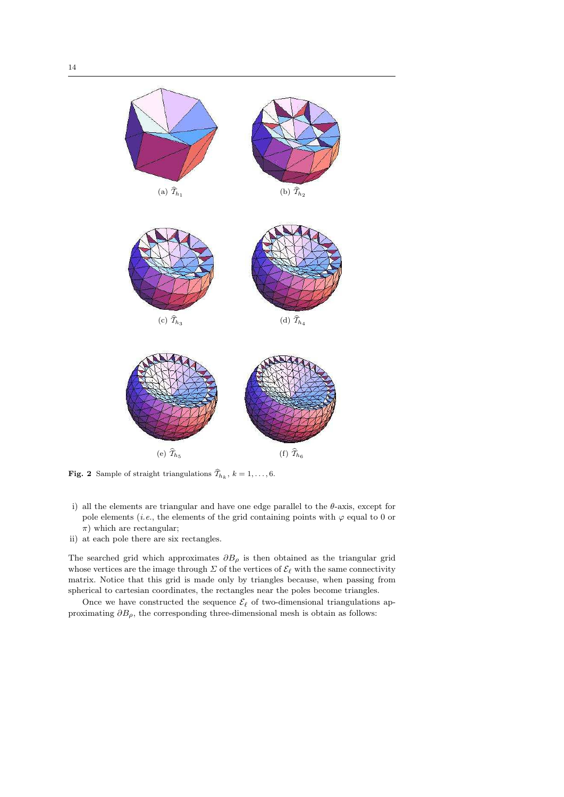<span id="page-13-3"></span><span id="page-13-2"></span><span id="page-13-1"></span>

<span id="page-13-4"></span><span id="page-13-0"></span>(e)  $\widehat{\mathcal{T}}_{h_5}$ 

**Fig. 2** Sample of straight triangulations  $\mathcal{T}_{h_k}$ ,  $k = 1, ..., 6$ .

- i) all the elements are triangular and have one edge parallel to the  $\theta$ -axis, except for pole elements (*i.e.*, the elements of the grid containing points with  $\varphi$  equal to 0 or  $\pi$ ) which are rectangular;
- ii) at each pole there are six rectangles.

The searched grid which approximates  $\partial B_{\rho}$  is then obtained as the triangular grid whose vertices are the image through  $\Sigma$  of the vertices of  $\mathcal{E}_\ell$  with the same connectivity matrix. Notice that this grid is made only by triangles because, when passing from spherical to cartesian coordinates, the rectangles near the poles become triangles.

Once we have constructed the sequence  $\mathcal{E}_{\ell}$  of two-dimensional triangulations approximating  $\partial B_{\rho}$ , the corresponding three-dimensional mesh is obtain as follows: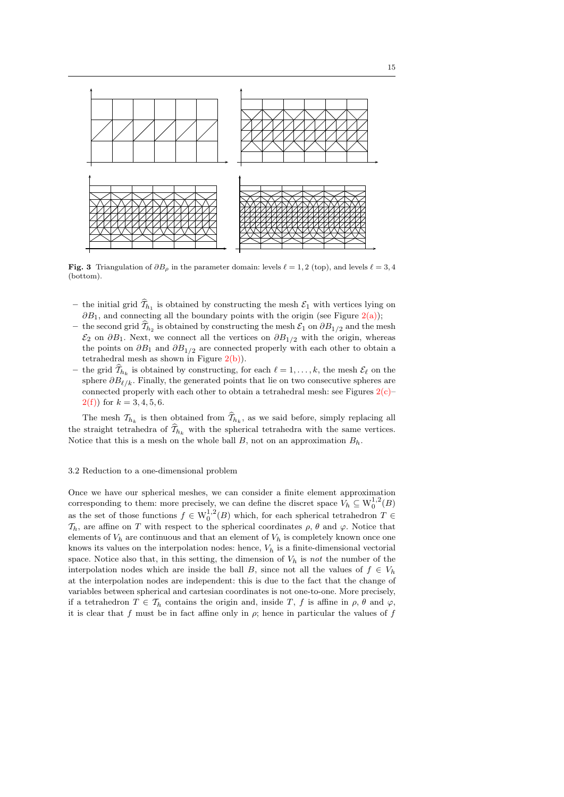

Fig. 3 Triangulation of  $\partial B_{\rho}$  in the parameter domain: levels  $\ell = 1, 2$  (top), and levels  $\ell = 3, 4$ (bottom).

- <span id="page-14-0"></span>– the initial grid  $\mathcal{T}_{h_1}$  is obtained by constructing the mesh  $\mathcal{E}_1$  with vertices lying on  $\partial B_1$ , and connecting all the boundary points with the origin (see Figure [2\(a\)\)](#page-13-1);
- the second grid  $\mathcal{T}_{h_2}$  is obtained by constructing the mesh  $\mathcal{E}_1$  on  $\partial B_{1/2}$  and the mesh  $\mathcal{E}_2$  on  $\partial B_1$ . Next, we connect all the vertices on  $\partial B_{1/2}$  with the origin, whereas the points on  $\partial B_1$  and  $\partial B_{1/2}$  are connected properly with each other to obtain a tetrahedral mesh as shown in Figure  $2(b)$ ).
- the grid  $\mathcal{T}_{h_k}$  is obtained by constructing, for each  $\ell = 1, \ldots, k$ , the mesh  $\mathcal{E}_{\ell}$  on the sphere  $\partial B_{\ell/k}$ . Finally, the generated points that lie on two consecutive spheres are connected properly with each other to obtain a tetrahedral mesh: see Figures  $2(c)$ –  $2(f)$  for  $k = 3, 4, 5, 6$ .

The mesh  $\mathcal{T}_{h_k}$  is then obtained from  $\mathcal{T}_{h_k}$ , as we said before, simply replacing all the straight tetrahedra of  $\mathcal{T}_{h_k}$  with the spherical tetrahedra with the same vertices. Notice that this is a mesh on the whole ball B, not on an approximation  $B_h$ .

## 3.2 Reduction to a one-dimensional problem

Once we have our spherical meshes, we can consider a finite element approximation corresponding to them: more precisely, we can define the discret space  $V_h \subseteq W_0^{1,2}(B)$ as the set of those functions  $f \in W_0^{1,2}(B)$  which, for each spherical tetrahedron  $T \in$  $\mathcal{T}_h$ , are affine on T with respect to the spherical coordinates  $\rho$ ,  $\theta$  and  $\varphi$ . Notice that elements of  $V_h$  are continuous and that an element of  $V_h$  is completely known once one knows its values on the interpolation nodes: hence,  $V<sub>h</sub>$  is a finite-dimensional vectorial space. Notice also that, in this setting, the dimension of  $V_h$  is not the number of the interpolation nodes which are inside the ball B, since not all the values of  $f \in V_h$ at the interpolation nodes are independent: this is due to the fact that the change of variables between spherical and cartesian coordinates is not one-to-one. More precisely, if a tetrahedron  $T \in \mathcal{T}_h$  contains the origin and, inside T, f is affine in  $\rho$ ,  $\theta$  and  $\varphi$ , it is clear that f must be in fact affine only in  $\rho$ ; hence in particular the values of f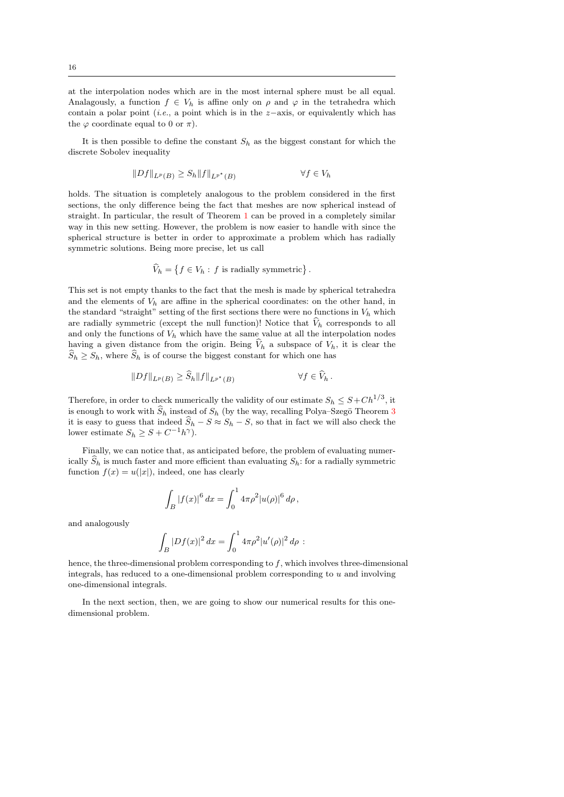at the interpolation nodes which are in the most internal sphere must be all equal. Analagously, a function  $f \in V_h$  is affine only on  $\rho$  and  $\varphi$  in the tetrahedra which contain a polar point (i.e., a point which is in the z−axis, or equivalently which has the  $\varphi$  coordinate equal to 0 or  $\pi$ ).

It is then possible to define the constant  $S_h$  as the biggest constant for which the discrete Sobolev inequality

$$
||Df||_{L^p(B)} \ge S_h ||f||_{L^{p^*}(B)} \qquad \forall f \in V_h
$$

holds. The situation is completely analogous to the problem considered in the first sections, the only difference being the fact that meshes are now spherical instead of straight. In particular, the result of Theorem [1](#page-1-1) can be proved in a completely similar way in this new setting. However, the problem is now easier to handle with since the spherical structure is better in order to approximate a problem which has radially symmetric solutions. Being more precise, let us call

$$
\hat{V}_h = \{ f \in V_h : f \text{ is radially symmetric} \}.
$$

This set is not empty thanks to the fact that the mesh is made by spherical tetrahedra and the elements of  $V_h$  are affine in the spherical coordinates: on the other hand, in the standard "straight" setting of the first sections there were no functions in  $V<sub>h</sub>$  which are radially symmetric (except the null function)! Notice that  $V_h$  corresponds to all and only the functions of  $V<sub>h</sub>$  which have the same value at all the interpolation nodes having a given distance from the origin. Being  $V_h$  a subspace of  $V_h$ , it is clear the  $S_h \geq S_h$ , where  $S_h$  is of course the biggest constant for which one has

$$
||Df||_{L^p(B)} \ge \widehat{S}_h ||f||_{L^{p^*}(B)} \qquad \forall f \in \widehat{V}_h.
$$

Therefore, in order to check numerically the validity of our estimate  $S_h \leq S + Ch^{1/3}$ , it is enough to work with  $S_h$  instead of  $S_h$  (by the way, recalling Polya–Szegö Theorem [3](#page-5-2) it is easy to guess that indeed  $S_h - S \approx S_h - S$ , so that in fact we will also check the lower estimate  $S_h \geq S + C^{-1}h^{\gamma}$ .

Finally, we can notice that, as anticipated before, the problem of evaluating numerically  $S_h$  is much faster and more efficient than evaluating  $S_h$ : for a radially symmetric function  $f(x) = u(|x|)$ , indeed, one has clearly

$$
\int_B |f(x)|^6 dx = \int_0^1 4\pi \rho^2 |u(\rho)|^6 d\rho,
$$

and analogously

$$
\int_B |Df(x)|^2\,dx = \int_0^1 4\pi \rho^2 |u'(\rho)|^2\,d\rho\,:
$$

hence, the three-dimensional problem corresponding to f, which involves three-dimensional integrals, has reduced to a one-dimensional problem corresponding to u and involving one-dimensional integrals.

In the next section, then, we are going to show our numerical results for this onedimensional problem.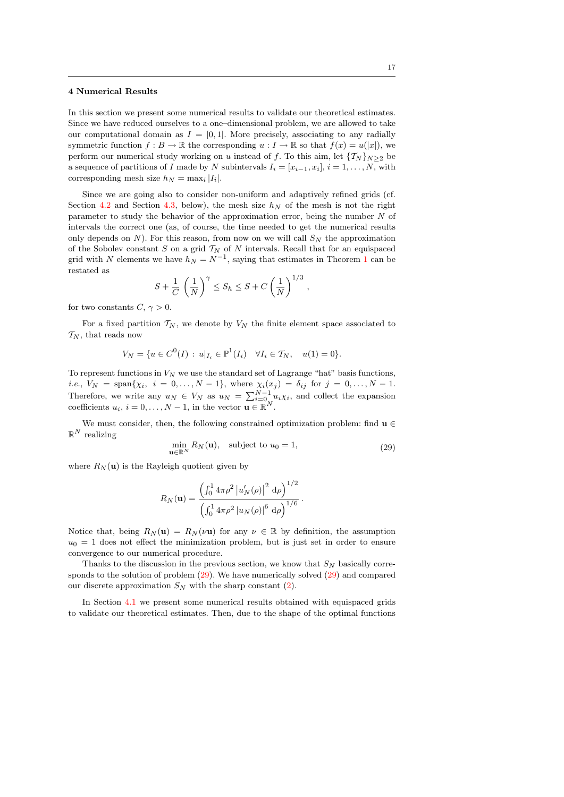#### 4 Numerical Results

In this section we present some numerical results to validate our theoretical estimates. Since we have reduced ourselves to a one–dimensional problem, we are allowed to take our computational domain as  $I = [0, 1]$ . More precisely, associating to any radially symmetric function  $f : B \to \mathbb{R}$  the corresponding  $u : I \to \mathbb{R}$  so that  $f(x) = u(|x|)$ , we perform our numerical study working on u instead of f. To this aim, let  ${\{\mathcal{T}_N\}}_{N>2}$  be a sequence of partitions of I made by N subintervals  $I_i = [x_{i-1}, x_i], i = 1, ..., N$ , with corresponding mesh size  $h_N = \max_i |I_i|$ .

Since we are going also to consider non-uniform and adaptively refined grids (cf. Section [4.2](#page-19-0) and Section [4.3,](#page-20-0) below), the mesh size  $h_N$  of the mesh is not the right parameter to study the behavior of the approximation error, being the number N of intervals the correct one (as, of course, the time needed to get the numerical results only depends on  $N$ ). For this reason, from now on we will call  $S_N$  the approximation of the Sobolev constant  $S$  on a grid  $\mathcal{T}_N$  of  $N$  intervals. Recall that for an equispaced grid with N elements we have  $h_N = N^{-1}$  $h_N = N^{-1}$  $h_N = N^{-1}$ , saying that estimates in Theorem 1 can be restated as

$$
S + \frac{1}{C} \left(\frac{1}{N}\right)^{\gamma} \le S_h \le S + C \left(\frac{1}{N}\right)^{1/3},
$$

for two constants  $C, \gamma > 0$ .

For a fixed partition  $T_N$ , we denote by  $V_N$  the finite element space associated to  $\mathcal{T}_N,$  that reads now

$$
V_N = \{ u \in C^0(I) : u|_{I_i} \in \mathbb{P}^1(I_i) \quad \forall I_i \in \mathcal{T}_N, \quad u(1) = 0 \}.
$$

To represent functions in  ${\cal V}_{\cal N}$  we use the standard set of Lagrange "hat" basis functions, *i.e.*,  $V_N = \text{span}\{\chi_i, i = 0, ..., N-1\},\$  where  $\chi_i(x_j) = \delta_{ij}$  for  $j = 0, ..., N-1.$ Therefore, we write any  $u_N \in V_N$  as  $u_N = \sum_{i=0}^{N-1} u_i \chi_i$ , and collect the expansion coefficients  $u_i, i = 0, \ldots, N-1$ , in the vector  $\mathbf{u} \in \mathbb{R}^N$ .

We must consider, then, the following constrained optimization problem: find  $\mathbf{u} \in$  $\mathbb{R}^N$  realizing

<span id="page-16-0"></span>
$$
\min_{\mathbf{u}\in\mathbb{R}^N} R_N(\mathbf{u}), \quad \text{subject to } u_0 = 1,
$$
\n(29)

where  $R_N(\mathbf{u})$  is the Rayleigh quotient given by

$$
R_N(\mathbf{u}) = \frac{\left(\int_0^1 4\pi \rho^2 |u'_N(\rho)|^2 \, d\rho\right)^{1/2}}{\left(\int_0^1 4\pi \rho^2 |u_N(\rho)|^6 \, d\rho\right)^{1/6}}.
$$

Notice that, being  $R_N(\mathbf{u}) = R_N(\nu \mathbf{u})$  for any  $\nu \in \mathbb{R}$  by definition, the assumption  $u_0 = 1$  does not effect the minimization problem, but is just set in order to ensure convergence to our numerical procedure.

Thanks to the discussion in the previous section, we know that  $S_N$  basically corresponds to the solution of problem [\(29\)](#page-16-0). We have numerically solved [\(29\)](#page-16-0) and compared our discrete approximation  $S_N$  with the sharp constant [\(2\)](#page-1-0).

In Section [4.1](#page-17-0) we present some numerical results obtained with equispaced grids to validate our theoretical estimates. Then, due to the shape of the optimal functions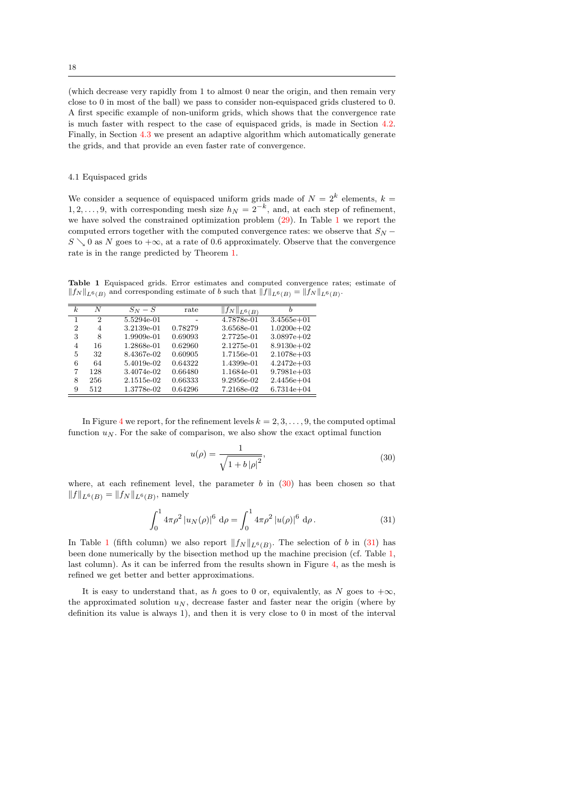(which decrease very rapidly from 1 to almost 0 near the origin, and then remain very close to 0 in most of the ball) we pass to consider non-equispaced grids clustered to 0. A first specific example of non-uniform grids, which shows that the convergence rate is much faster with respect to the case of equispaced grids, is made in Section [4.2.](#page-19-0) Finally, in Section [4.3](#page-20-0) we present an adaptive algorithm which automatically generate the grids, and that provide an even faster rate of convergence.

#### <span id="page-17-0"></span>4.1 Equispaced grids

We consider a sequence of equispaced uniform grids made of  $N = 2<sup>k</sup>$  elements,  $k =$ 1, 2, ..., 9, with corresponding mesh size  $h_N = 2^{-k}$ , and, at each step of refinement, we have solved the constrained optimization problem [\(29\)](#page-16-0). In Table [1](#page-17-1) we report the computed errors together with the computed convergence rates: we observe that  $S_N$  −  $S \setminus 0$  as N goes to  $+\infty$ , at a rate of 0.6 approximately. Observe that the convergence rate is in the range predicted by Theorem [1.](#page-1-1)

<span id="page-17-1"></span>Table 1 Equispaced grids. Error estimates and computed convergence rates; estimate of  $||f_N||_{L^6(B)}$  and corresponding estimate of b such that  $||f||_{L^6(B)} = ||f_N||_{L^6(B)}$ .

| k.             | N   | $S_N-S$    | rate    | $  f_N  _{L^6(B)}$ | h              |
|----------------|-----|------------|---------|--------------------|----------------|
|                | 2   | 5.5294e-01 |         | 4.7878e-01         | $3.4565e + 01$ |
| $\overline{2}$ | 4   | 3.2139e-01 | 0.78279 | 3.6568e-01         | $1.0200e + 02$ |
| 3              | 8   | 1.9909e-01 | 0.69093 | 2.7725e-01         | $3.0897e + 02$ |
| 4              | 16  | 1.2868e-01 | 0.62960 | 2.1275e-01         | $8.9130e + 02$ |
| 5              | 32  | 8.4367e-02 | 0.60905 | 1.7156e-01         | $2.1078e + 03$ |
| 6              | 64  | 5.4019e-02 | 0.64322 | 1.4399e-01         | $4.2472e + 03$ |
| 7              | 128 | 3.4074e-02 | 0.66480 | 1.1684e-01         | $9.7981e + 03$ |
| 8              | 256 | 2.1515e-02 | 0.66333 | 9.2956e-02         | $2.4456e + 04$ |
| 9              | 512 | 1.3778e-02 | 0.64296 | 7.2168e-02         | $6.7314e + 04$ |

In Figure [4](#page-18-0) we report, for the refinement levels  $k = 2, 3, \ldots, 9$ , the computed optimal function  $u_N$ . For the sake of comparison, we also show the exact optimal function

<span id="page-17-2"></span>
$$
u(\rho) = \frac{1}{\sqrt{1 + b |\rho|^2}},\tag{30}
$$

where, at each refinement level, the parameter b in  $(30)$  has been chosen so that  $||f||_{L^6(B)} = ||f_N||_{L^6(B)}$ , namely

<span id="page-17-3"></span>
$$
\int_0^1 4\pi \rho^2 |u_N(\rho)|^6 d\rho = \int_0^1 4\pi \rho^2 |u(\rho)|^6 d\rho.
$$
 (31)

In Table [1](#page-17-1) (fifth column) we also report  $||f_N||_{L^6(B)}$ . The selection of b in [\(31\)](#page-17-3) has been done numerically by the bisection method up the machine precision (cf. Table [1,](#page-17-1) last column). As it can be inferred from the results shown in Figure [4,](#page-18-0) as the mesh is refined we get better and better approximations.

It is easy to understand that, as h goes to 0 or, equivalently, as N goes to  $+\infty$ , the approximated solution  $u_N$ , decrease faster and faster near the origin (where by definition its value is always 1), and then it is very close to 0 in most of the interval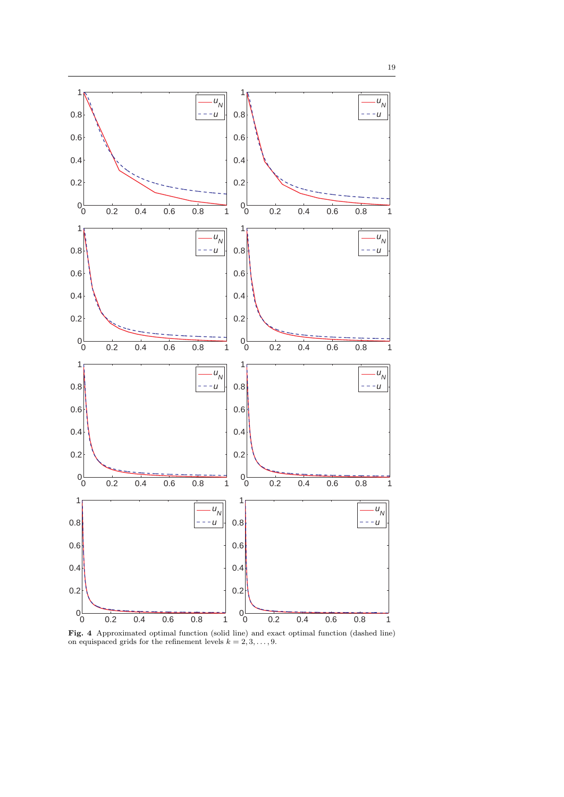

<span id="page-18-0"></span>Fig. 4 Approximated optimal function (solid line) and exact optimal function (dashed line) on equispaced grids for the refinement levels  $k = 2, 3, \ldots, 9$ .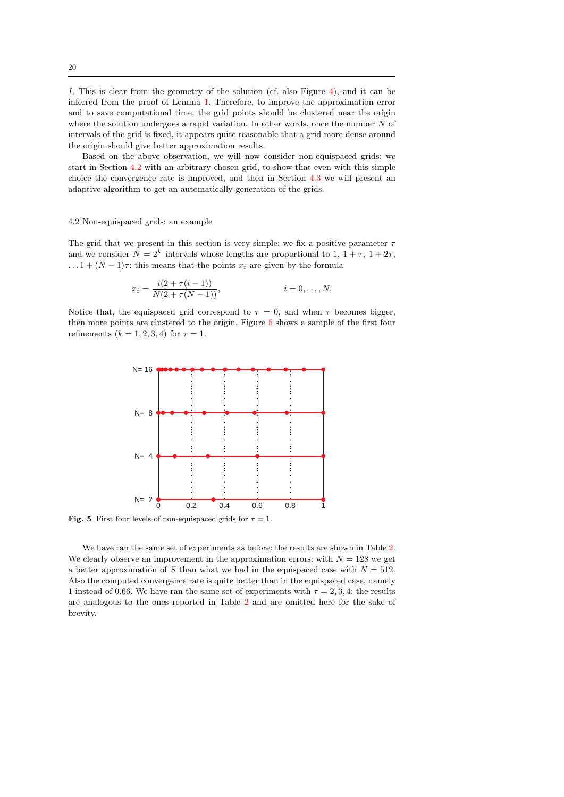I. This is clear from the geometry of the solution (cf. also Figure [4\)](#page-18-0), and it can be inferred from the proof of Lemma [1.](#page-4-0) Therefore, to improve the approximation error and to save computational time, the grid points should be clustered near the origin where the solution undergoes a rapid variation. In other words, once the number  $N$  of intervals of the grid is fixed, it appears quite reasonable that a grid more dense around the origin should give better approximation results.

Based on the above observation, we will now consider non-equispaced grids: we start in Section [4.2](#page-19-0) with an arbitrary chosen grid, to show that even with this simple choice the convergence rate is improved, and then in Section [4.3](#page-20-0) we will present an adaptive algorithm to get an automatically generation of the grids.

#### <span id="page-19-0"></span>4.2 Non-equispaced grids: an example

The grid that we present in this section is very simple: we fix a positive parameter  $\tau$ and we consider  $N = 2<sup>k</sup>$  intervals whose lengths are proportional to 1,  $1 + \tau$ ,  $1 + 2\tau$ ,  $\dots$  1 +  $(N-1)\tau$ : this means that the points  $x_i$  are given by the formula

$$
x_i = \frac{i(2 + \tau(i-1))}{N(2 + \tau(N-1))}, \qquad i = 0, \dots, N.
$$

Notice that, the equispaced grid correspond to  $\tau = 0$ , and when  $\tau$  becomes bigger, then more points are clustered to the origin. Figure [5](#page-19-1) shows a sample of the first four refinements  $(k = 1, 2, 3, 4)$  for  $\tau = 1$ .

<span id="page-19-1"></span>

**Fig. 5** First four levels of non-equispaced grids for  $\tau = 1$ .

We have ran the same set of experiments as before: the results are shown in Table [2.](#page-20-1) We clearly observe an improvement in the approximation errors: with  $N = 128$  we get a better approximation of S than what we had in the equispaced case with  $N = 512$ . Also the computed convergence rate is quite better than in the equispaced case, namely 1 instead of 0.66. We have ran the same set of experiments with  $\tau = 2, 3, 4$ : the results are analogous to the ones reported in Table [2](#page-20-1) and are omitted here for the sake of brevity.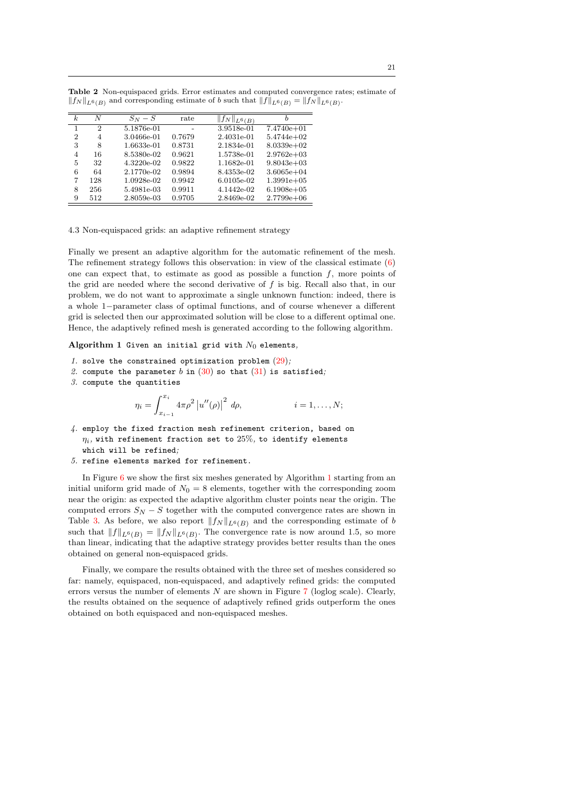| $\overline{k}$ | N              | $S_N-S$    | rate   | $\overline{\left\ f_N\right\ }_{L^6(B)}$ |                |
|----------------|----------------|------------|--------|------------------------------------------|----------------|
| 1              | $\mathfrak{D}$ | 5.1876e-01 |        | 3.9518e-01                               | $7.4740e + 01$ |
| $\overline{2}$ | 4              | 3.0466e-01 | 0.7679 | 2.4031e-01                               | $5.4744e+02$   |
| 3              | 8              | 1.6633e-01 | 0.8731 | 2.1834e-01                               | $8.0339e+02$   |
| 4              | 16             | 8.5380e-02 | 0.9621 | 1.5738e-01                               | $2.9762e+03$   |
| 5              | 32             | 4.3220e-02 | 0.9822 | 1.1682e-01                               | $9.8043e + 03$ |
| 6              | 64             | 2.1770e-02 | 0.9894 | 8.4353e-02                               | $3.6065e + 04$ |
| 7              | 128            | 1.0928e-02 | 0.9942 | 6.0105e-02                               | $1.3991e+05$   |
| 8              | 256            | 5.4981e-03 | 0.9911 | 4.1442e-02                               | $6.1908e + 05$ |
| 9              | 512            | 2.8059e-03 | 0.9705 | 2.8469e-02                               | $2.7799e + 06$ |

<span id="page-20-1"></span>Table 2 Non-equispaced grids. Error estimates and computed convergence rates; estimate of  $||f_N||_{L^6(B)}$  and corresponding estimate of b such that  $||f||_{L^6(B)} = ||f_N||_{L^6(B)}$ .

<span id="page-20-0"></span>4.3 Non-equispaced grids: an adaptive refinement strategy

Finally we present an adaptive algorithm for the automatic refinement of the mesh. The refinement strategy follows this observation: in view of the classical estimate [\(6\)](#page-3-0) one can expect that, to estimate as good as possible a function  $f$ , more points of the grid are needed where the second derivative of  $f$  is big. Recall also that, in our problem, we do not want to approximate a single unknown function: indeed, there is a whole 1−parameter class of optimal functions, and of course whenever a different grid is selected then our approximated solution will be close to a different optimal one. Hence, the adaptively refined mesh is generated according to the following algorithm.

Algorithm 1 Given an initial grid with  $N_0$  elements,

- 1. solve the constrained optimization problem  $(29)$ ;
- 2. compute the parameter b in  $(30)$  so that  $(31)$  is satisfied;
- 3. compute the quantities

<span id="page-20-2"></span>
$$
\eta_i = \int_{x_{i-1}}^{x_i} 4\pi \rho^2 |u''(\rho)|^2 d\rho, \qquad i = 1, \dots, N;
$$

- 4. employ the fixed fraction mesh refinement criterion, based on  $\eta_i$ , with refinement fraction set to  $25\%$ , to identify elements which will be refined;
- 5. refine elements marked for refinement.

In Figure  $6$  we show the first six meshes generated by Algorithm [1](#page-20-2) starting from an initial uniform grid made of  $N_0 = 8$  elements, together with the corresponding zoom near the origin: as expected the adaptive algorithm cluster points near the origin. The computed errors  $S_N - S$  together with the computed convergence rates are shown in Table [3.](#page-21-1) As before, we also report  $||f_N||_{L^6(B)}$  and the corresponding estimate of b such that  $||f||_{L^6(B)} = ||f_N||_{L^6(B)}$ . The convergence rate is now around 1.5, so more than linear, indicating that the adaptive strategy provides better results than the ones obtained on general non-equispaced grids.

Finally, we compare the results obtained with the three set of meshes considered so far: namely, equispaced, non-equispaced, and adaptively refined grids: the computed errors versus the number of elements  $N$  are shown in Figure [7](#page-21-2) (loglog scale). Clearly, the results obtained on the sequence of adaptively refined grids outperform the ones obtained on both equispaced and non-equispaced meshes.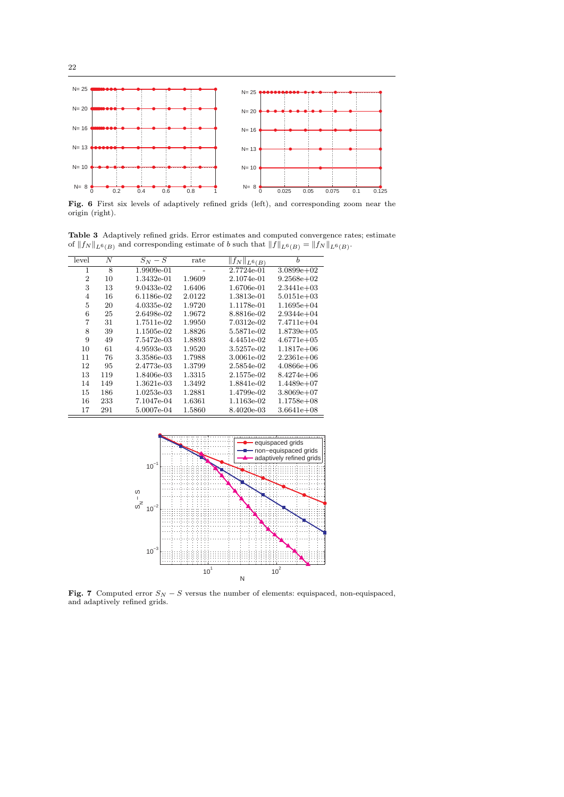

<span id="page-21-0"></span>Fig. 6 First six levels of adaptively refined grids (left), and corresponding zoom near the origin (right).

<span id="page-21-1"></span>Table 3 Adaptively refined grids. Error estimates and computed convergence rates; estimate of  $||f_N||_{L^6(B)}$  and corresponding estimate of b such that  $||f||_{L^6(B)} = ||f_N||_{L^6(B)}$ .

| level          | N   | $S_N-S$    | rate   | $\overline{\ f_N\ }_{L^6(B)}$ | b              |
|----------------|-----|------------|--------|-------------------------------|----------------|
| 1              | 8   | 1.9909e-01 |        | 2.7724e-01                    | $3.0899e+02$   |
| $\overline{2}$ | 10  | 1.3432e-01 | 1.9609 | 2.1074e-01                    | $9.2568 + 02$  |
| 3              | 13  | 9.0433e-02 | 1.6406 | 1.6706e-01                    | $2.3441e + 03$ |
| 4              | 16  | 6.1186e-02 | 2.0122 | 1.3813e-01                    | $5.0151e + 03$ |
| 5              | 20  | 4.0335e-02 | 1.9720 | 1.1178e-01                    | $1.1695e + 04$ |
| 6              | 25  | 2.6498e-02 | 1.9672 | 8.8816e-02                    | $2.9344e + 04$ |
| 7              | 31  | 1.7511e-02 | 1.9950 | 7.0312e-02                    | 7.4711e+04     |
| 8              | 39  | 1.1505e-02 | 1.8826 | 5.5871e-02                    | $1.8739e + 05$ |
| 9              | 49  | 7.5472e-03 | 1.8893 | 4.4451e-02                    | $4.6771e+05$   |
| 10             | 61  | 4.9593e-03 | 1.9520 | 3.5257e-02                    | $1.1817e + 06$ |
| 11             | 76  | 3.3586e-03 | 1.7988 | 3.0061e-02                    | $2.2361e + 06$ |
| 12             | 95  | 2.4773e-03 | 1.3799 | 2.5854e-02                    | $4.0866e + 06$ |
| 13             | 119 | 1.8406e-03 | 1.3315 | 2.1575e-02                    | $8.4274e + 06$ |
| 14             | 149 | 1.3621e-03 | 1.3492 | 1.8841e-02                    | $1.4489e+07$   |
| 15             | 186 | 1.0253e-03 | 1.2881 | 1.4799e-02                    | $3.8069e+07$   |
| 16             | 233 | 7.1047e-04 | 1.6361 | 1.1163e-02                    | $1.1758e + 08$ |
| 17             | 291 | 5.0007e-04 | 1.5860 | 8.4020e-03                    | $3.6641e + 08$ |

<span id="page-21-2"></span>

Fig. 7 Computed error  $S_N - S$  versus the number of elements: equispaced, non-equispaced, and adaptively refined grids.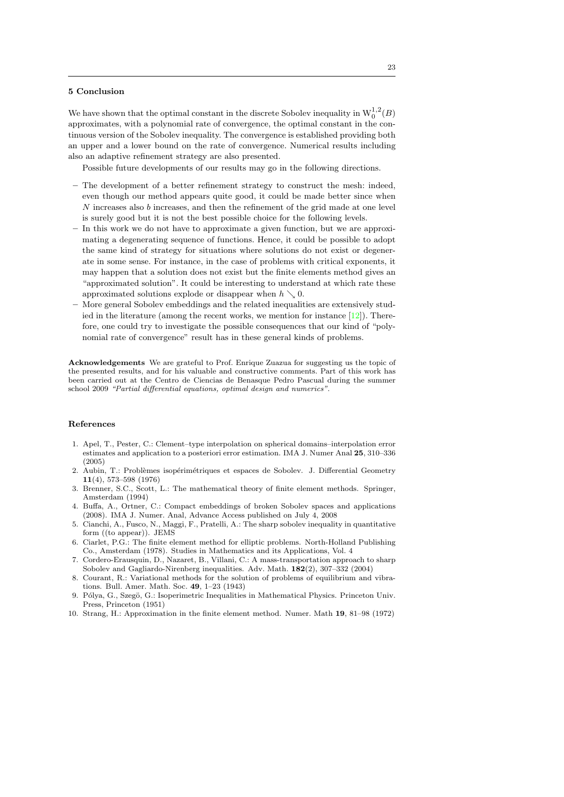## 5 Conclusion

We have shown that the optimal constant in the discrete Sobolev inequality in  $W_0^{1,2}(B)$ approximates, with a polynomial rate of convergence, the optimal constant in the continuous version of the Sobolev inequality. The convergence is established providing both an upper and a lower bound on the rate of convergence. Numerical results including also an adaptive refinement strategy are also presented.

Possible future developments of our results may go in the following directions.

- The development of a better refinement strategy to construct the mesh: indeed, even though our method appears quite good, it could be made better since when N increases also b increases, and then the refinement of the grid made at one level is surely good but it is not the best possible choice for the following levels.
- In this work we do not have to approximate a given function, but we are approximating a degenerating sequence of functions. Hence, it could be possible to adopt the same kind of strategy for situations where solutions do not exist or degenerate in some sense. For instance, in the case of problems with critical exponents, it may happen that a solution does not exist but the finite elements method gives an "approximated solution". It could be interesting to understand at which rate these approximated solutions explode or disappear when  $h \searrow 0$ .
- More general Sobolev embeddings and the related inequalities are extensively studied in the literature (among the recent works, we mention for instance [\[12\]](#page-23-1)). Therefore, one could try to investigate the possible consequences that our kind of "polynomial rate of convergence" result has in these general kinds of problems.

Acknowledgements We are grateful to Prof. Enrique Zuazua for suggesting us the topic of the presented results, and for his valuable and constructive comments. Part of this work has been carried out at the Centro de Ciencias de Benasque Pedro Pascual during the summer school 2009 "Partial differential equations, optimal design and numerics".

## References

- <span id="page-22-9"></span>1. Apel, T., Pester, C.: Clement–type interpolation on spherical domains–interpolation error estimates and application to a posteriori error estimation. IMA J. Numer Anal 25, 310–336 (2005)
- <span id="page-22-0"></span>2. Aubin, T.: Problèmes isopérimétriques et espaces de Sobolev. J. Differential Geometry 11(4), 573–598 (1976)
- <span id="page-22-7"></span>3. Brenner, S.C., Scott, L.: The mathematical theory of finite element methods. Springer, Amsterdam (1994)
- <span id="page-22-2"></span>4. Buffa, A., Ortner, C.: Compact embeddings of broken Sobolev spaces and applications (2008). IMA J. Numer. Anal, Advance Access published on July 4, 2008
- <span id="page-22-3"></span>5. Cianchi, A., Fusco, N., Maggi, F., Pratelli, A.: The sharp sobolev inequality in quantitative form ((to appear)). JEMS
- <span id="page-22-5"></span>6. Ciarlet, P.G.: The finite element method for elliptic problems. North-Holland Publishing Co., Amsterdam (1978). Studies in Mathematics and its Applications, Vol. 4
- <span id="page-22-1"></span>7. Cordero-Erausquin, D., Nazaret, B., Villani, C.: A mass-transportation approach to sharp Sobolev and Gagliardo-Nirenberg inequalities. Adv. Math. 182(2), 307–332 (2004)
- <span id="page-22-4"></span>8. Courant, R.: Variational methods for the solution of problems of equilibrium and vibrations. Bull. Amer. Math. Soc. 49, 1–23 (1943)
- <span id="page-22-8"></span>9. Pólya, G., Szegö, G.: Isoperimetric Inequalities in Mathematical Physics. Princeton Univ. Press, Princeton (1951)
- <span id="page-22-6"></span>10. Strang, H.: Approximation in the finite element method. Numer. Math 19, 81–98 (1972)